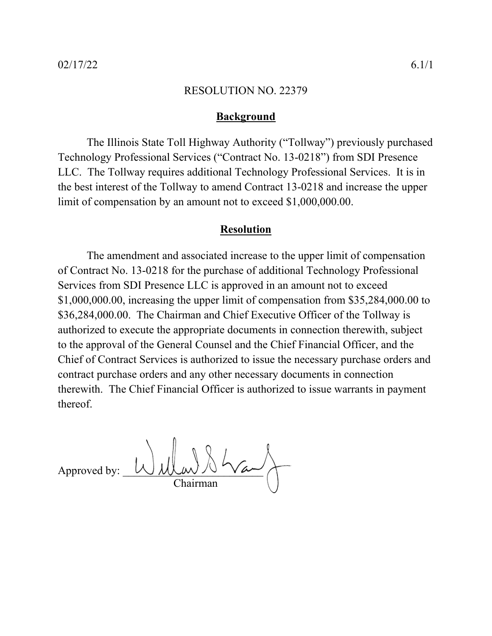## **Background**

The Illinois State Toll Highway Authority ("Tollway") previously purchased Technology Professional Services ("Contract No. 13-0218") from SDI Presence LLC. The Tollway requires additional Technology Professional Services. It is in the best interest of the Tollway to amend Contract 13-0218 and increase the upper limit of compensation by an amount not to exceed \$1,000,000.00.

## **Resolution**

The amendment and associated increase to the upper limit of compensation of Contract No. 13-0218 for the purchase of additional Technology Professional Services from SDI Presence LLC is approved in an amount not to exceed \$1,000,000.00, increasing the upper limit of compensation from \$35,284,000.00 to \$36,284,000.00. The Chairman and Chief Executive Officer of the Tollway is authorized to execute the appropriate documents in connection therewith, subject to the approval of the General Counsel and the Chief Financial Officer, and the Chief of Contract Services is authorized to issue the necessary purchase orders and contract purchase orders and any other necessary documents in connection therewith. The Chief Financial Officer is authorized to issue warrants in payment thereof.

Approved by: Chairman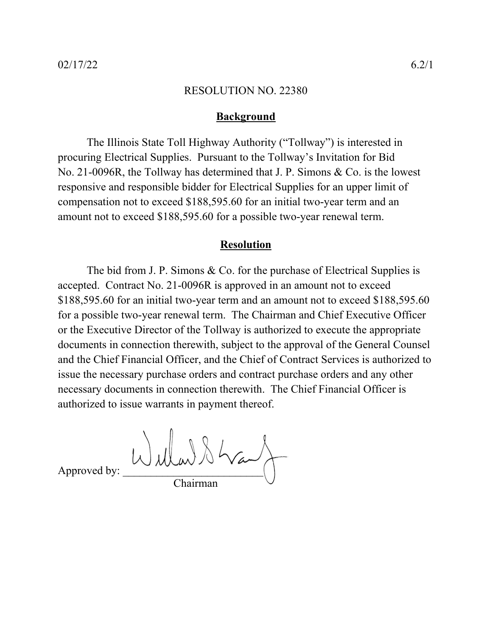## **Background**

The Illinois State Toll Highway Authority ("Tollway") is interested in procuring Electrical Supplies. Pursuant to the Tollway's Invitation for Bid No. 21-0096R, the Tollway has determined that J. P. Simons & Co. is the lowest responsive and responsible bidder for Electrical Supplies for an upper limit of compensation not to exceed \$188,595.60 for an initial two-year term and an amount not to exceed \$188,595.60 for a possible two-year renewal term.

# **Resolution**

The bid from J. P. Simons & Co. for the purchase of Electrical Supplies is accepted. Contract No. 21-0096R is approved in an amount not to exceed \$188,595.60 for an initial two-year term and an amount not to exceed \$188,595.60 for a possible two-year renewal term. The Chairman and Chief Executive Officer or the Executive Director of the Tollway is authorized to execute the appropriate documents in connection therewith, subject to the approval of the General Counsel and the Chief Financial Officer, and the Chief of Contract Services is authorized to issue the necessary purchase orders and contract purchase orders and any other necessary documents in connection therewith. The Chief Financial Officer is authorized to issue warrants in payment thereof.

Approved by: Willard & Way Chairman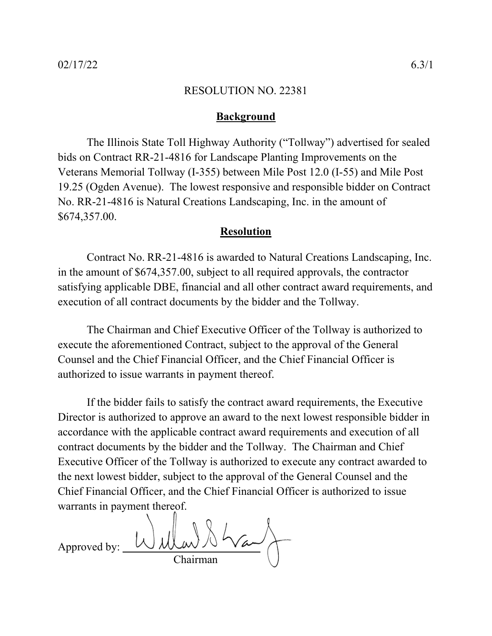## **Background**

The Illinois State Toll Highway Authority ("Tollway") advertised for sealed bids on Contract RR-21-4816 for Landscape Planting Improvements on the Veterans Memorial Tollway (I-355) between Mile Post 12.0 (I-55) and Mile Post 19.25 (Ogden Avenue). The lowest responsive and responsible bidder on Contract No. RR-21-4816 is Natural Creations Landscaping, Inc. in the amount of \$674,357.00.

# **Resolution**

Contract No. RR-21-4816 is awarded to Natural Creations Landscaping, Inc. in the amount of \$674,357.00, subject to all required approvals, the contractor satisfying applicable DBE, financial and all other contract award requirements, and execution of all contract documents by the bidder and the Tollway.

The Chairman and Chief Executive Officer of the Tollway is authorized to execute the aforementioned Contract, subject to the approval of the General Counsel and the Chief Financial Officer, and the Chief Financial Officer is authorized to issue warrants in payment thereof.

Approved by: Chairman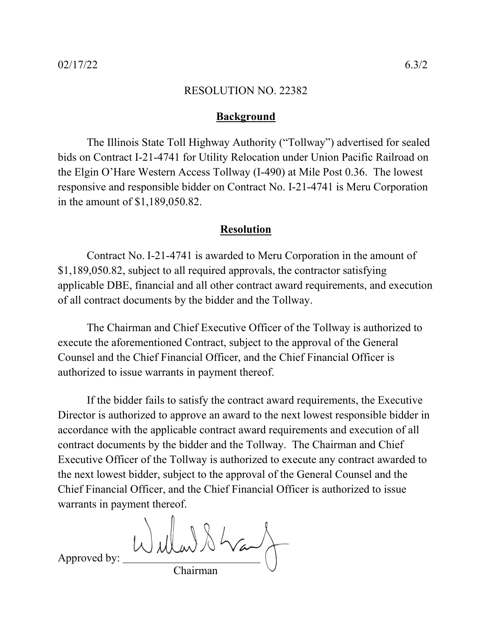## **Background**

The Illinois State Toll Highway Authority ("Tollway") advertised for sealed bids on Contract I-21-4741 for Utility Relocation under Union Pacific Railroad on the Elgin O'Hare Western Access Tollway (I-490) at Mile Post 0.36. The lowest responsive and responsible bidder on Contract No. I-21-4741 is Meru Corporation in the amount of \$1,189,050.82.

## **Resolution**

Contract No. I-21-4741 is awarded to Meru Corporation in the amount of \$1,189,050.82, subject to all required approvals, the contractor satisfying applicable DBE, financial and all other contract award requirements, and execution of all contract documents by the bidder and the Tollway.

The Chairman and Chief Executive Officer of the Tollway is authorized to execute the aforementioned Contract, subject to the approval of the General Counsel and the Chief Financial Officer, and the Chief Financial Officer is authorized to issue warrants in payment thereof.

If the bidder fails to satisfy the contract award requirements, the Executive Director is authorized to approve an award to the next lowest responsible bidder in accordance with the applicable contract award requirements and execution of all contract documents by the bidder and the Tollway. The Chairman and Chief Executive Officer of the Tollway is authorized to execute any contract awarded to the next lowest bidder, subject to the approval of the General Counsel and the Chief Financial Officer, and the Chief Financial Officer is authorized to issue warrants in payment thereof.

Willard & Way Chairman

Approved by: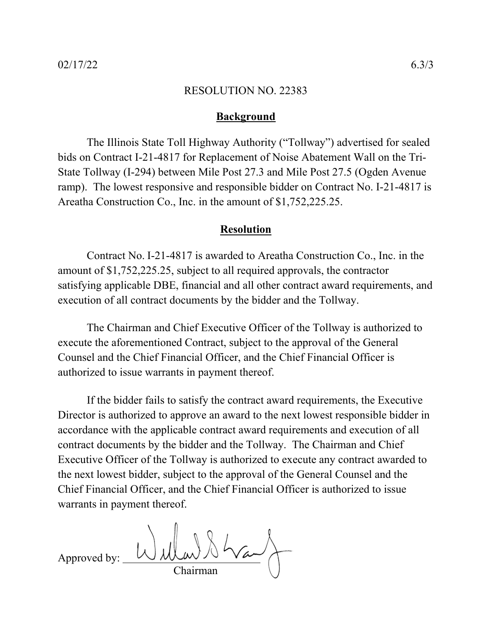## **Background**

The Illinois State Toll Highway Authority ("Tollway") advertised for sealed bids on Contract I-21-4817 for Replacement of Noise Abatement Wall on the Tri-State Tollway (I-294) between Mile Post 27.3 and Mile Post 27.5 (Ogden Avenue ramp). The lowest responsive and responsible bidder on Contract No. I-21-4817 is Areatha Construction Co., Inc. in the amount of \$1,752,225.25.

## **Resolution**

Contract No. I-21-4817 is awarded to Areatha Construction Co., Inc. in the amount of \$1,752,225.25, subject to all required approvals, the contractor satisfying applicable DBE, financial and all other contract award requirements, and execution of all contract documents by the bidder and the Tollway.

The Chairman and Chief Executive Officer of the Tollway is authorized to execute the aforementioned Contract, subject to the approval of the General Counsel and the Chief Financial Officer, and the Chief Financial Officer is authorized to issue warrants in payment thereof.

Approved by:  $\bigcup_{\lambda}$  ulas Chairman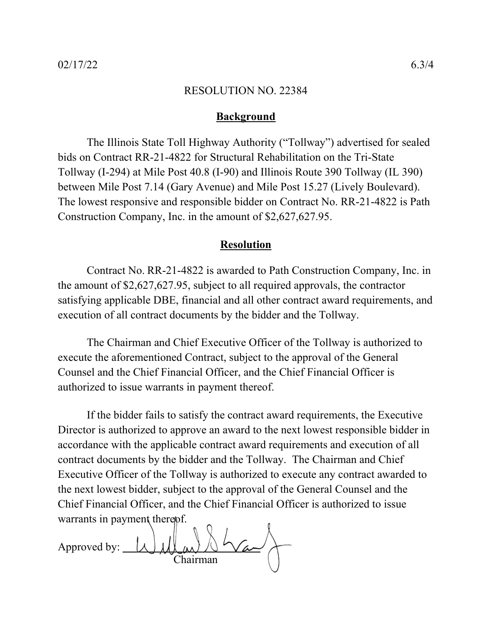## **Background**

The Illinois State Toll Highway Authority ("Tollway") advertised for sealed bids on Contract RR-21-4822 for Structural Rehabilitation on the Tri-State Tollway (I-294) at Mile Post 40.8 (I-90) and Illinois Route 390 Tollway (IL 390) between Mile Post 7.14 (Gary Avenue) and Mile Post 15.27 (Lively Boulevard). The lowest responsive and responsible bidder on Contract No. RR-21-4822 is Path Construction Company, Inc. in the amount of \$2,627,627.95.

# **Resolution**

Contract No. RR-21-4822 is awarded to Path Construction Company, Inc. in the amount of \$2,627,627.95, subject to all required approvals, the contractor satisfying applicable DBE, financial and all other contract award requirements, and execution of all contract documents by the bidder and the Tollway.

The Chairman and Chief Executive Officer of the Tollway is authorized to execute the aforementioned Contract, subject to the approval of the General Counsel and the Chief Financial Officer, and the Chief Financial Officer is authorized to issue warrants in payment thereof.

Approved by: Chairman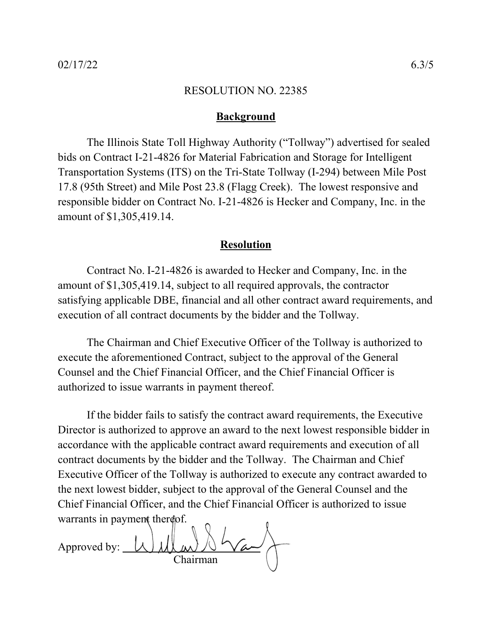## **Background**

The Illinois State Toll Highway Authority ("Tollway") advertised for sealed bids on Contract I-21-4826 for Material Fabrication and Storage for Intelligent Transportation Systems (ITS) on the Tri-State Tollway (I-294) between Mile Post 17.8 (95th Street) and Mile Post 23.8 (Flagg Creek). The lowest responsive and responsible bidder on Contract No. I-21-4826 is Hecker and Company, Inc. in the amount of \$1,305,419.14.

# **Resolution**

Contract No. I-21-4826 is awarded to Hecker and Company, Inc. in the amount of \$1,305,419.14, subject to all required approvals, the contractor satisfying applicable DBE, financial and all other contract award requirements, and execution of all contract documents by the bidder and the Tollway.

The Chairman and Chief Executive Officer of the Tollway is authorized to execute the aforementioned Contract, subject to the approval of the General Counsel and the Chief Financial Officer, and the Chief Financial Officer is authorized to issue warrants in payment thereof.

Approved by: Chairman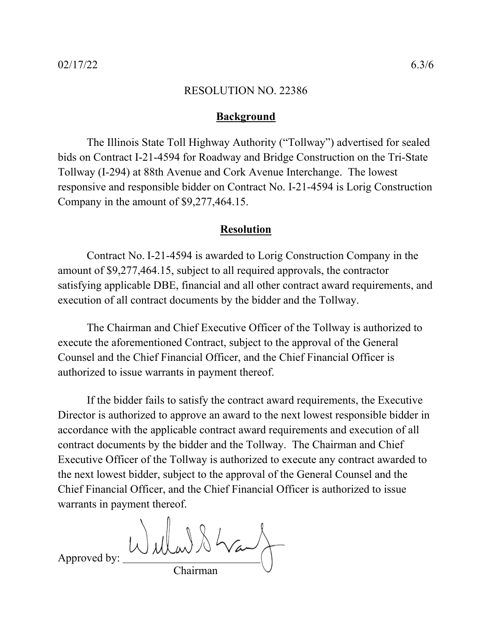## **Background**

The Illinois State Toll Highway Authority ("Tollway") advertised for sealed bids on Contract I-21-4594 for Roadway and Bridge Construction on the Tri-State Tollway (I-294) at 88th Avenue and Cork Avenue Interchange. The lowest responsive and responsible bidder on Contract No. I-21-4594 is Lorig Construction Company in the amount of \$9,277,464.15.

## **Resolution**

Contract No. I-21-4594 is awarded to Lorig Construction Company in the amount of \$9,277,464.15, subject to all required approvals, the contractor satisfying applicable DBE, financial and all other contract award requirements, and execution of all contract documents by the bidder and the Tollway.

The Chairman and Chief Executive Officer of the Tollway is authorized to execute the aforementioned Contract, subject to the approval of the General Counsel and the Chief Financial Officer, and the Chief Financial Officer is authorized to issue warrants in payment thereof.

Willard Shand Approved by: Chairman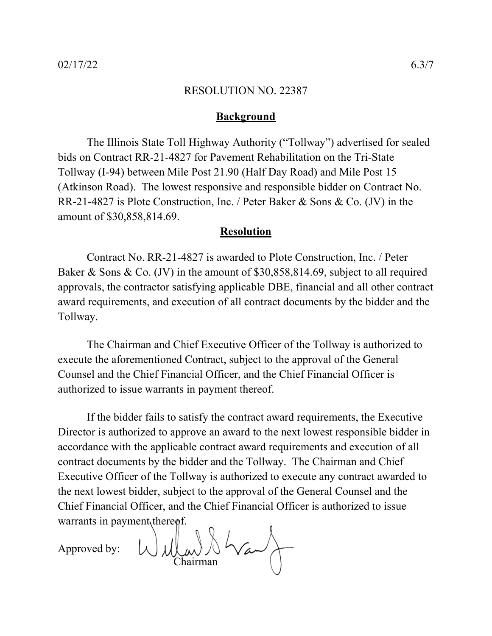## **Background**

The Illinois State Toll Highway Authority ("Tollway") advertised for sealed bids on Contract RR-21-4827 for Pavement Rehabilitation on the Tri-State Tollway (I-94) between Mile Post 21.90 (Half Day Road) and Mile Post 15 (Atkinson Road). The lowest responsive and responsible bidder on Contract No. RR-21-4827 is Plote Construction, Inc. / Peter Baker & Sons & Co. (JV) in the amount of \$30,858,814.69.

## **Resolution**

Contract No. RR-21-4827 is awarded to Plote Construction, Inc. / Peter Baker & Sons & Co. (JV) in the amount of \$30,858,814.69, subject to all required approvals, the contractor satisfying applicable DBE, financial and all other contract award requirements, and execution of all contract documents by the bidder and the Tollway.

The Chairman and Chief Executive Officer of the Tollway is authorized to execute the aforementioned Contract, subject to the approval of the General Counsel and the Chief Financial Officer, and the Chief Financial Officer is authorized to issue warrants in payment thereof.

Approved by: Chairman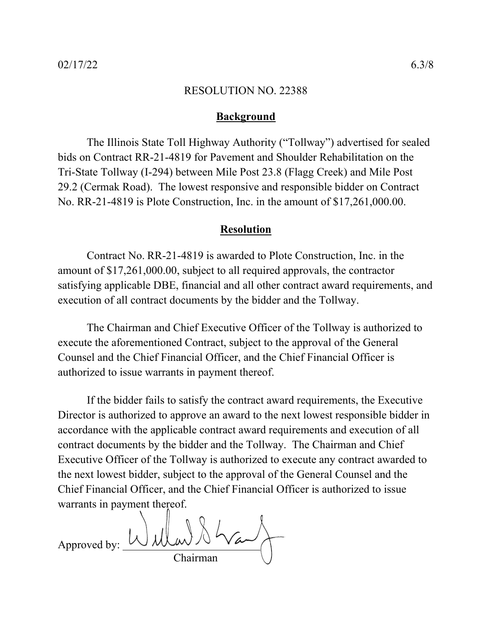## **Background**

The Illinois State Toll Highway Authority ("Tollway") advertised for sealed bids on Contract RR-21-4819 for Pavement and Shoulder Rehabilitation on the Tri-State Tollway (I-294) between Mile Post 23.8 (Flagg Creek) and Mile Post 29.2 (Cermak Road). The lowest responsive and responsible bidder on Contract No. RR-21-4819 is Plote Construction, Inc. in the amount of \$17,261,000.00.

## **Resolution**

Contract No. RR-21-4819 is awarded to Plote Construction, Inc. in the amount of \$17,261,000.00, subject to all required approvals, the contractor satisfying applicable DBE, financial and all other contract award requirements, and execution of all contract documents by the bidder and the Tollway.

The Chairman and Chief Executive Officer of the Tollway is authorized to execute the aforementioned Contract, subject to the approval of the General Counsel and the Chief Financial Officer, and the Chief Financial Officer is authorized to issue warrants in payment thereof.

Approved by: Chairman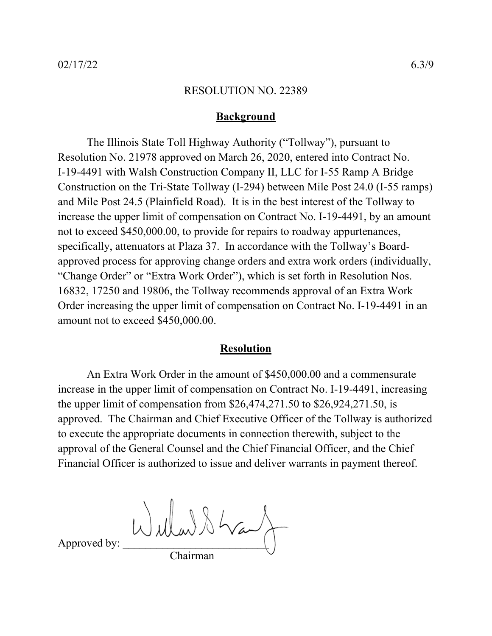## **Background**

The Illinois State Toll Highway Authority ("Tollway"), pursuant to Resolution No. 21978 approved on March 26, 2020, entered into Contract No. I-19-4491 with Walsh Construction Company II, LLC for I-55 Ramp A Bridge Construction on the Tri-State Tollway (I-294) between Mile Post 24.0 (I-55 ramps) and Mile Post 24.5 (Plainfield Road). It is in the best interest of the Tollway to increase the upper limit of compensation on Contract No. I-19-4491, by an amount not to exceed \$450,000.00, to provide for repairs to roadway appurtenances, specifically, attenuators at Plaza 37. In accordance with the Tollway's Boardapproved process for approving change orders and extra work orders (individually, "Change Order" or "Extra Work Order"), which is set forth in Resolution Nos. 16832, 17250 and 19806, the Tollway recommends approval of an Extra Work Order increasing the upper limit of compensation on Contract No. I-19-4491 in an amount not to exceed \$450,000.00.

# **Resolution**

An Extra Work Order in the amount of \$450,000.00 and a commensurate increase in the upper limit of compensation on Contract No. I-19-4491, increasing the upper limit of compensation from \$26,474,271.50 to \$26,924,271.50, is approved. The Chairman and Chief Executive Officer of the Tollway is authorized to execute the appropriate documents in connection therewith, subject to the approval of the General Counsel and the Chief Financial Officer, and the Chief Financial Officer is authorized to issue and deliver warrants in payment thereof.

 $\bigcup_{\text{Approxed by:}} \bigcup_{\omega} \bigcup_{\omega} \bigcup_{\omega} \bigcup_{\omega} \bigcup_{\omega} \bigcup_{\omega} \bigcup_{\omega} \bigcap_{\omega}$ Chairman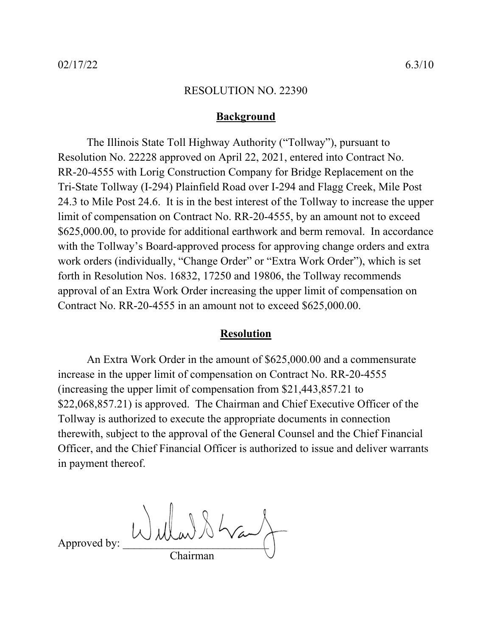## **Background**

The Illinois State Toll Highway Authority ("Tollway"), pursuant to Resolution No. 22228 approved on April 22, 2021, entered into Contract No. RR-20-4555 with Lorig Construction Company for Bridge Replacement on the Tri-State Tollway (I-294) Plainfield Road over I-294 and Flagg Creek, Mile Post 24.3 to Mile Post 24.6. It is in the best interest of the Tollway to increase the upper limit of compensation on Contract No. RR-20-4555, by an amount not to exceed \$625,000.00, to provide for additional earthwork and berm removal. In accordance with the Tollway's Board-approved process for approving change orders and extra work orders (individually, "Change Order" or "Extra Work Order"), which is set forth in Resolution Nos. 16832, 17250 and 19806, the Tollway recommends approval of an Extra Work Order increasing the upper limit of compensation on Contract No. RR-20-4555 in an amount not to exceed \$625,000.00.

## **Resolution**

An Extra Work Order in the amount of \$625,000.00 and a commensurate increase in the upper limit of compensation on Contract No. RR-20-4555 (increasing the upper limit of compensation from \$21,443,857.21 to \$22,068,857.21) is approved. The Chairman and Chief Executive Officer of the Tollway is authorized to execute the appropriate documents in connection therewith, subject to the approval of the General Counsel and the Chief Financial Officer, and the Chief Financial Officer is authorized to issue and deliver warrants in payment thereof.

Approved by:  $Wd\mu w$ Chairman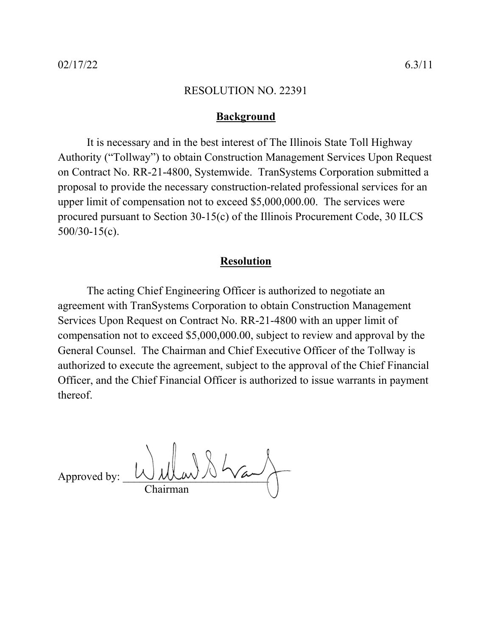# **Background**

It is necessary and in the best interest of The Illinois State Toll Highway Authority ("Tollway") to obtain Construction Management Services Upon Request on Contract No. RR-21-4800, Systemwide. TranSystems Corporation submitted a proposal to provide the necessary construction-related professional services for an upper limit of compensation not to exceed \$5,000,000.00. The services were procured pursuant to Section 30-15(c) of the Illinois Procurement Code, 30 ILCS 500/30-15(c).

# **Resolution**

The acting Chief Engineering Officer is authorized to negotiate an agreement with TranSystems Corporation to obtain Construction Management Services Upon Request on Contract No. RR-21-4800 with an upper limit of compensation not to exceed \$5,000,000.00, subject to review and approval by the General Counsel. The Chairman and Chief Executive Officer of the Tollway is authorized to execute the agreement, subject to the approval of the Chief Financial Officer, and the Chief Financial Officer is authorized to issue warrants in payment thereof.

Approved by: Chairman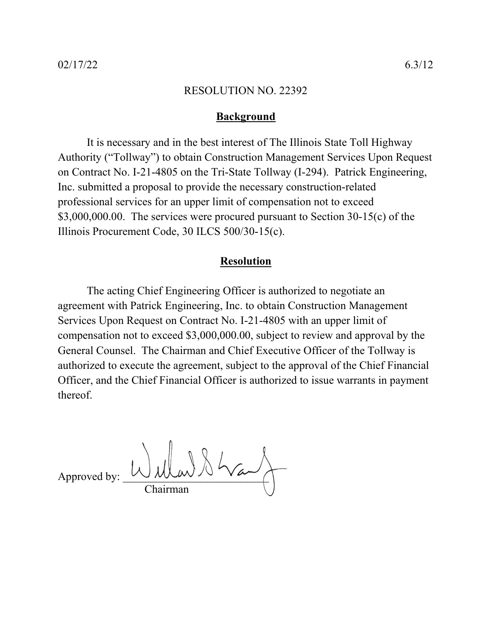## **Background**

It is necessary and in the best interest of The Illinois State Toll Highway Authority ("Tollway") to obtain Construction Management Services Upon Request on Contract No. I-21-4805 on the Tri-State Tollway (I-294). Patrick Engineering, Inc. submitted a proposal to provide the necessary construction-related professional services for an upper limit of compensation not to exceed \$3,000,000.00. The services were procured pursuant to Section 30-15(c) of the Illinois Procurement Code, 30 ILCS 500/30-15(c).

## **Resolution**

The acting Chief Engineering Officer is authorized to negotiate an agreement with Patrick Engineering, Inc. to obtain Construction Management Services Upon Request on Contract No. I-21-4805 with an upper limit of compensation not to exceed \$3,000,000.00, subject to review and approval by the General Counsel. The Chairman and Chief Executive Officer of the Tollway is authorized to execute the agreement, subject to the approval of the Chief Financial Officer, and the Chief Financial Officer is authorized to issue warrants in payment thereof.

 $\Delta$  Approved by:  $\bigcup \mathcal{W}(\mathcal{W}) \setminus \mathcal{W}(\mathcal{W})$ Chairman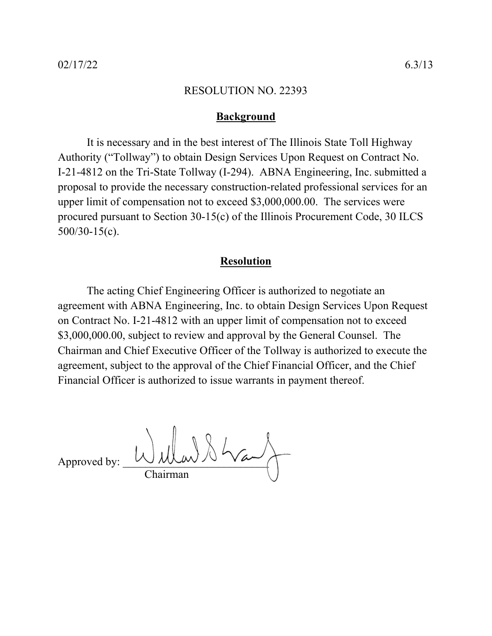## **Background**

It is necessary and in the best interest of The Illinois State Toll Highway Authority ("Tollway") to obtain Design Services Upon Request on Contract No. I-21-4812 on the Tri-State Tollway (I-294). ABNA Engineering, Inc. submitted a proposal to provide the necessary construction-related professional services for an upper limit of compensation not to exceed \$3,000,000.00. The services were procured pursuant to Section 30-15(c) of the Illinois Procurement Code, 30 ILCS 500/30-15(c).

# **Resolution**

The acting Chief Engineering Officer is authorized to negotiate an agreement with ABNA Engineering, Inc. to obtain Design Services Upon Request on Contract No. I-21-4812 with an upper limit of compensation not to exceed \$3,000,000.00, subject to review and approval by the General Counsel. The Chairman and Chief Executive Officer of the Tollway is authorized to execute the agreement, subject to the approval of the Chief Financial Officer, and the Chief Financial Officer is authorized to issue warrants in payment thereof.

Approved by:  $\bigcup \mathcal{W}(\mathcal{W}) \setminus \mathcal{W}(\mathcal{W})$ Chairman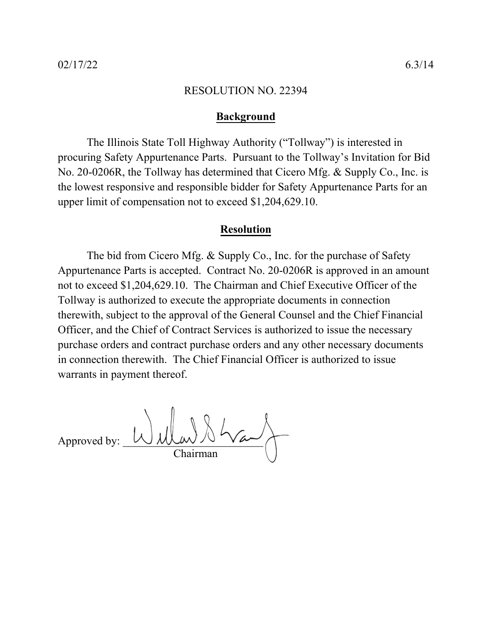# **Background**

The Illinois State Toll Highway Authority ("Tollway") is interested in procuring Safety Appurtenance Parts. Pursuant to the Tollway's Invitation for Bid No. 20-0206R, the Tollway has determined that Cicero Mfg. & Supply Co., Inc. is the lowest responsive and responsible bidder for Safety Appurtenance Parts for an upper limit of compensation not to exceed \$1,204,629.10.

# **Resolution**

The bid from Cicero Mfg. & Supply Co., Inc. for the purchase of Safety Appurtenance Parts is accepted. Contract No. 20-0206R is approved in an amount not to exceed \$1,204,629.10. The Chairman and Chief Executive Officer of the Tollway is authorized to execute the appropriate documents in connection therewith, subject to the approval of the General Counsel and the Chief Financial Officer, and the Chief of Contract Services is authorized to issue the necessary purchase orders and contract purchase orders and any other necessary documents in connection therewith. The Chief Financial Officer is authorized to issue warrants in payment thereof.

Approved by: Chairman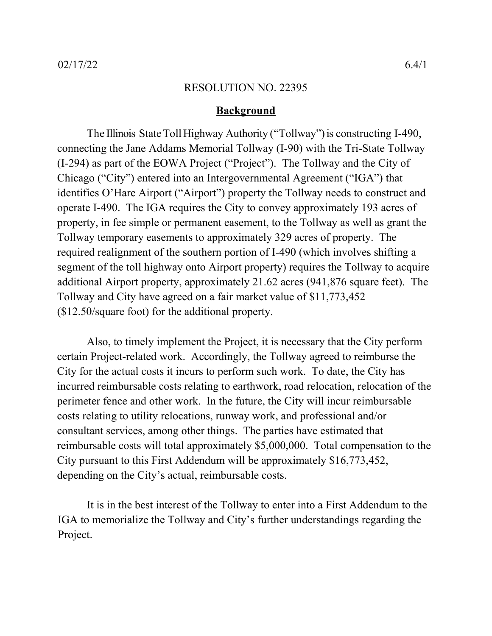## **Background**

The Illinois State Toll Highway Authority ("Tollway") is constructing I-490, connecting the Jane Addams Memorial Tollway (I-90) with the Tri-State Tollway (I-294) as part of the EOWA Project ("Project"). The Tollway and the City of Chicago ("City") entered into an Intergovernmental Agreement ("IGA") that identifies O'Hare Airport ("Airport") property the Tollway needs to construct and operate I-490. The IGA requires the City to convey approximately 193 acres of property, in fee simple or permanent easement, to the Tollway as well as grant the Tollway temporary easements to approximately 329 acres of property. The required realignment of the southern portion of I-490 (which involves shifting a segment of the toll highway onto Airport property) requires the Tollway to acquire additional Airport property, approximately 21.62 acres (941,876 square feet). The Tollway and City have agreed on a fair market value of \$11,773,452 (\$12.50/square foot) for the additional property.

Also, to timely implement the Project, it is necessary that the City perform certain Project-related work. Accordingly, the Tollway agreed to reimburse the City for the actual costs it incurs to perform such work. To date, the City has incurred reimbursable costs relating to earthwork, road relocation, relocation of the perimeter fence and other work. In the future, the City will incur reimbursable costs relating to utility relocations, runway work, and professional and/or consultant services, among other things. The parties have estimated that reimbursable costs will total approximately \$5,000,000. Total compensation to the City pursuant to this First Addendum will be approximately \$16,773,452, depending on the City's actual, reimbursable costs.

It is in the best interest of the Tollway to enter into a First Addendum to the IGA to memorialize the Tollway and City's further understandings regarding the Project.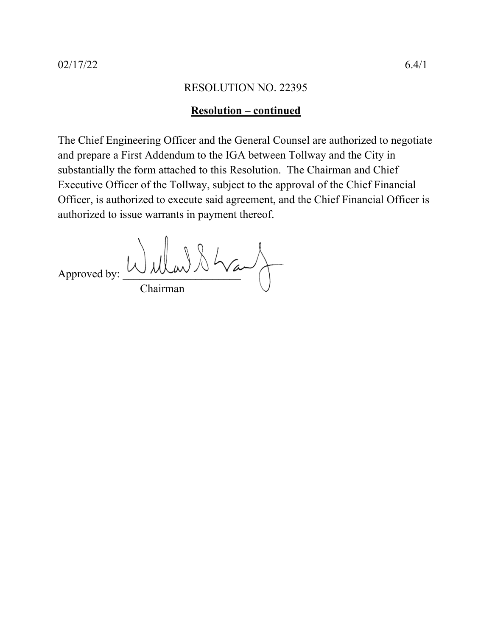## **Resolution – continued**

The Chief Engineering Officer and the General Counsel are authorized to negotiate and prepare a First Addendum to the IGA between Tollway and the City in substantially the form attached to this Resolution. The Chairman and Chief Executive Officer of the Tollway, subject to the approval of the Chief Financial Officer, is authorized to execute said agreement, and the Chief Financial Officer is authorized to issue warrants in payment thereof.

Approved by: Wullau & Way Chairman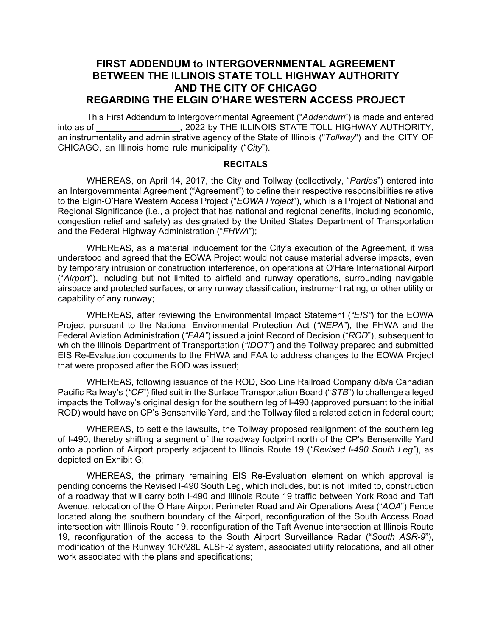# **FIRST ADDENDUM to INTERGOVERNMENTAL AGREEMENT BETWEEN THE ILLINOIS STATE TOLL HIGHWAY AUTHORITY AND THE CITY OF CHICAGO REGARDING THE ELGIN O'HARE WESTERN ACCESS PROJECT**

This First Addendum to Intergovernmental Agreement ("*Addendum*") is made and entered into as of  $\overline{a}$ , 2022 by THE ILLINOIS STATE TOLL HIGHWAY AUTHORITY, an instrumentality and administrative agency of the State of Illinois ("*Tollway*") and the CITY OF CHICAGO, an Illinois home rule municipality ("*City*").

#### **RECITALS**

WHEREAS, on April 14, 2017, the City and Tollway (collectively, "*Parties*") entered into an Intergovernmental Agreement ("Agreement") to define their respective responsibilities relative to the Elgin-O'Hare Western Access Project ("*EOWA Project*"), which is a Project of National and Regional Significance (i.e., a project that has national and regional benefits, including economic, congestion relief and safety) as designated by the United States Department of Transportation and the Federal Highway Administration ("*FHWA*");

WHEREAS, as a material inducement for the City's execution of the Agreement, it was understood and agreed that the EOWA Project would not cause material adverse impacts, even by temporary intrusion or construction interference, on operations at O'Hare International Airport ("*Airport*"), including but not limited to airfield and runway operations, surrounding navigable airspace and protected surfaces, or any runway classification, instrument rating, or other utility or capability of any runway;

WHEREAS, after reviewing the Environmental Impact Statement (*"EIS"*) for the EOWA Project pursuant to the National Environmental Protection Act (*"NEPA"*), the FHWA and the Federal Aviation Administration (*"FAA"*) issued a joint Record of Decision ("*ROD*"), subsequent to which the Illinois Department of Transportation (*"IDOT"*) and the Tollway prepared and submitted EIS Re-Evaluation documents to the FHWA and FAA to address changes to the EOWA Project that were proposed after the ROD was issued;

WHEREAS, following issuance of the ROD, Soo Line Railroad Company d/b/a Canadian Pacific Railway's (*"CP*") filed suit in the Surface Transportation Board ("*STB*") to challenge alleged impacts the Tollway's original design for the southern leg of I-490 (approved pursuant to the initial ROD) would have on CP's Bensenville Yard, and the Tollway filed a related action in federal court;

WHEREAS, to settle the lawsuits, the Tollway proposed realignment of the southern leg of I-490, thereby shifting a segment of the roadway footprint north of the CP's Bensenville Yard onto a portion of Airport property adjacent to Illinois Route 19 (*"Revised I-490 South Leg"*), as depicted on Exhibit G;

WHEREAS, the primary remaining EIS Re-Evaluation element on which approval is pending concerns the Revised I-490 South Leg, which includes, but is not limited to, construction of a roadway that will carry both I-490 and Illinois Route 19 traffic between York Road and Taft Avenue, relocation of the O'Hare Airport Perimeter Road and Air Operations Area ("*AOA*") Fence located along the southern boundary of the Airport, reconfiguration of the South Access Road intersection with Illinois Route 19, reconfiguration of the Taft Avenue intersection at Illinois Route 19, reconfiguration of the access to the South Airport Surveillance Radar ("*South ASR-9*"), modification of the Runway 10R/28L ALSF-2 system, associated utility relocations, and all other work associated with the plans and specifications;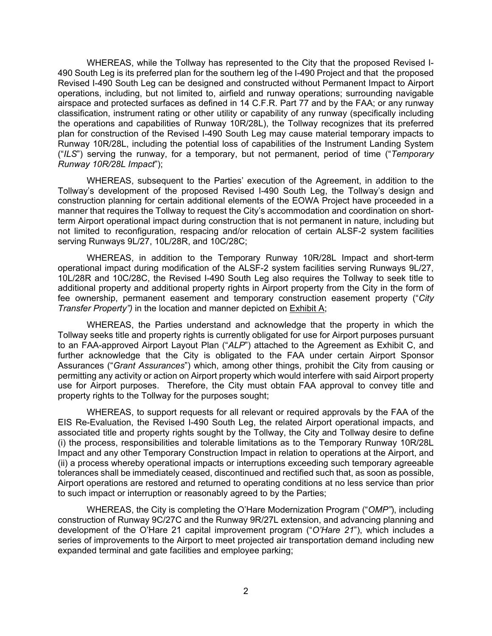WHEREAS, while the Tollway has represented to the City that the proposed Revised I-490 South Leg is its preferred plan for the southern leg of the I-490 Project and that the proposed Revised I-490 South Leg can be designed and constructed without Permanent Impact to Airport operations, including, but not limited to, airfield and runway operations; surrounding navigable airspace and protected surfaces as defined in 14 C.F.R. Part 77 and by the FAA; or any runway classification, instrument rating or other utility or capability of any runway (specifically including the operations and capabilities of Runway 10R/28L), the Tollway recognizes that its preferred plan for construction of the Revised I-490 South Leg may cause material temporary impacts to Runway 10R/28L, including the potential loss of capabilities of the Instrument Landing System ("*ILS*") serving the runway, for a temporary, but not permanent, period of time ("*Temporary Runway 10R/28L Impact*");

WHEREAS, subsequent to the Parties' execution of the Agreement, in addition to the Tollway's development of the proposed Revised I-490 South Leg, the Tollway's design and construction planning for certain additional elements of the EOWA Project have proceeded in a manner that requires the Tollway to request the City's accommodation and coordination on shortterm Airport operational impact during construction that is not permanent in nature, including but not limited to reconfiguration, respacing and/or relocation of certain ALSF-2 system facilities serving Runways 9L/27, 10L/28R, and 10C/28C;

WHEREAS, in addition to the Temporary Runway 10R/28L Impact and short-term operational impact during modification of the ALSF-2 system facilities serving Runways 9L/27, 10L/28R and 10C/28C, the Revised I-490 South Leg also requires the Tollway to seek title to additional property and additional property rights in Airport property from the City in the form of fee ownership, permanent easement and temporary construction easement property ("*City Transfer Property")* in the location and manner depicted on Exhibit A;

WHEREAS, the Parties understand and acknowledge that the property in which the Tollway seeks title and property rights is currently obligated for use for Airport purposes pursuant to an FAA-approved Airport Layout Plan ("*ALP*") attached to the Agreement as Exhibit C, and further acknowledge that the City is obligated to the FAA under certain Airport Sponsor Assurances ("*Grant Assurances*") which, among other things, prohibit the City from causing or permitting any activity or action on Airport property which would interfere with said Airport property use for Airport purposes. Therefore, the City must obtain FAA approval to convey title and property rights to the Tollway for the purposes sought;

WHEREAS, to support requests for all relevant or required approvals by the FAA of the EIS Re-Evaluation, the Revised I-490 South Leg, the related Airport operational impacts, and associated title and property rights sought by the Tollway, the City and Tollway desire to define (i) the process, responsibilities and tolerable limitations as to the Temporary Runway 10R/28L Impact and any other Temporary Construction Impact in relation to operations at the Airport, and (ii) a process whereby operational impacts or interruptions exceeding such temporary agreeable tolerances shall be immediately ceased, discontinued and rectified such that, as soon as possible, Airport operations are restored and returned to operating conditions at no less service than prior to such impact or interruption or reasonably agreed to by the Parties;

WHEREAS, the City is completing the O'Hare Modernization Program ("*OMP"*), including construction of Runway 9C/27C and the Runway 9R/27L extension, and advancing planning and development of the O'Hare 21 capital improvement program ("*O'Hare 21*"), which includes a series of improvements to the Airport to meet projected air transportation demand including new expanded terminal and gate facilities and employee parking;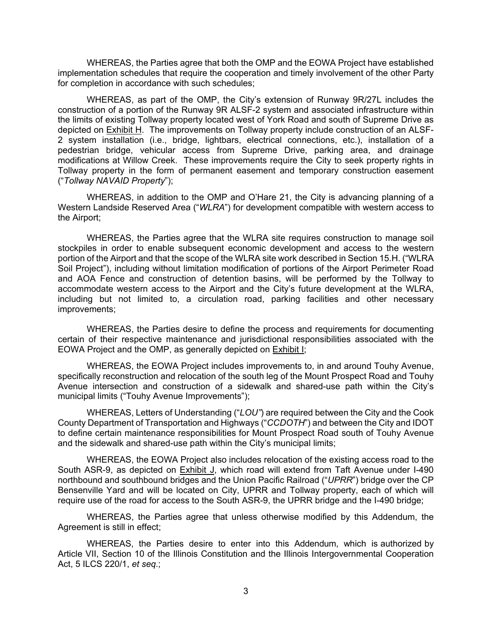WHEREAS, the Parties agree that both the OMP and the EOWA Project have established implementation schedules that require the cooperation and timely involvement of the other Party for completion in accordance with such schedules;

WHEREAS, as part of the OMP, the City's extension of Runway 9R/27L includes the construction of a portion of the Runway 9R ALSF-2 system and associated infrastructure within the limits of existing Tollway property located west of York Road and south of Supreme Drive as depicted on Exhibit H. The improvements on Tollway property include construction of an ALSF-2 system installation (i.e., bridge, lightbars, electrical connections, etc.), installation of a pedestrian bridge, vehicular access from Supreme Drive, parking area, and drainage modifications at Willow Creek. These improvements require the City to seek property rights in Tollway property in the form of permanent easement and temporary construction easement ("*Tollway NAVAID Property*");

WHEREAS, in addition to the OMP and O'Hare 21, the City is advancing planning of a Western Landside Reserved Area ("*WLRA*") for development compatible with western access to the Airport;

WHEREAS, the Parties agree that the WLRA site requires construction to manage soil stockpiles in order to enable subsequent economic development and access to the western portion of the Airport and that the scope of the WLRA site work described in Section 15.H. ("WLRA Soil Project"), including without limitation modification of portions of the Airport Perimeter Road and AOA Fence and construction of detention basins, will be performed by the Tollway to accommodate western access to the Airport and the City's future development at the WLRA, including but not limited to, a circulation road, parking facilities and other necessary improvements;

WHEREAS, the Parties desire to define the process and requirements for documenting certain of their respective maintenance and jurisdictional responsibilities associated with the EOWA Project and the OMP, as generally depicted on Exhibit I;

WHEREAS, the EOWA Project includes improvements to, in and around Touhy Avenue, specifically reconstruction and relocation of the south leg of the Mount Prospect Road and Touhy Avenue intersection and construction of a sidewalk and shared-use path within the City's municipal limits ("Touhy Avenue Improvements");

WHEREAS, Letters of Understanding ("*LOU"*) are required between the City and the Cook County Department of Transportation and Highways ("*CCDOTH*") and between the City and IDOT to define certain maintenance responsibilities for Mount Prospect Road south of Touhy Avenue and the sidewalk and shared-use path within the City's municipal limits;

WHEREAS, the EOWA Project also includes relocation of the existing access road to the South ASR-9, as depicted on Exhibit J, which road will extend from Taft Avenue under I-490 northbound and southbound bridges and the Union Pacific Railroad ("*UPRR*") bridge over the CP Bensenville Yard and will be located on City, UPRR and Tollway property, each of which will require use of the road for access to the South ASR-9, the UPRR bridge and the I-490 bridge;

WHEREAS, the Parties agree that unless otherwise modified by this Addendum, the Agreement is still in effect;

WHEREAS, the Parties desire to enter into this Addendum, which is authorized by Article VII, Section 10 of the Illinois Constitution and the Illinois Intergovernmental Cooperation Act, 5 ILCS 220/1, *et seq*.;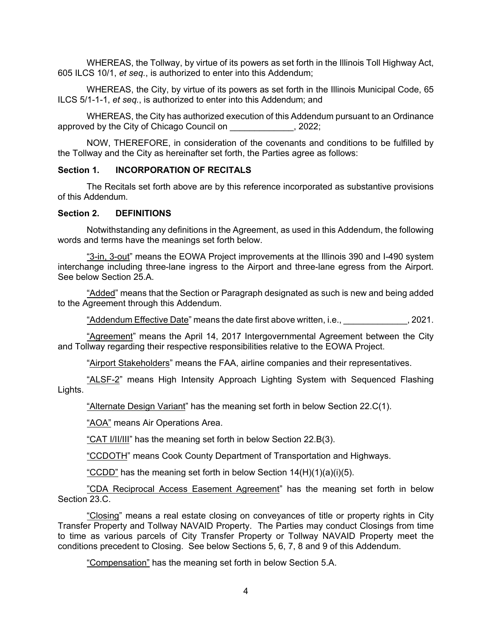WHEREAS, the Tollway, by virtue of its powers as set forth in the Illinois Toll Highway Act, 605 ILCS 10/1, *et seq.*, is authorized to enter into this Addendum;

WHEREAS, the City, by virtue of its powers as set forth in the Illinois Municipal Code, 65 ILCS 5/1-1-1, *et seq.*, is authorized to enter into this Addendum; and

WHEREAS, the City has authorized execution of this Addendum pursuant to an Ordinance approved by the City of Chicago Council on \_\_\_\_\_\_\_\_\_\_\_\_\_, 2022;

NOW, THEREFORE, in consideration of the covenants and conditions to be fulfilled by the Tollway and the City as hereinafter set forth, the Parties agree as follows:

#### **Section 1. INCORPORATION OF RECITALS**

The Recitals set forth above are by this reference incorporated as substantive provisions of this Addendum.

#### **Section 2. DEFINITIONS**

Notwithstanding any definitions in the Agreement, as used in this Addendum, the following words and terms have the meanings set forth below.

"3-in, 3-out" means the EOWA Project improvements at the Illinois 390 and I-490 system interchange including three-lane ingress to the Airport and three-lane egress from the Airport. See below Section 25.A.

"Added" means that the Section or Paragraph designated as such is new and being added to the Agreement through this Addendum.

"Addendum Effective Date" means the date first above written, i.e.,  $\qquad \qquad$  , 2021.

"Agreement" means the April 14, 2017 Intergovernmental Agreement between the City and Tollway regarding their respective responsibilities relative to the EOWA Project.

"Airport Stakeholders" means the FAA, airline companies and their representatives.

"ALSF-2" means High Intensity Approach Lighting System with Sequenced Flashing Lights.

"Alternate Design Variant" has the meaning set forth in below Section 22.C(1).

"AOA" means Air Operations Area.

"CAT I/II/III" has the meaning set forth in below Section 22.B(3).

"CCDOTH" means Cook County Department of Transportation and Highways.

"CCDD" has the meaning set forth in below Section  $14(H)(1)(a)(i)(5)$ .

"CDA Reciprocal Access Easement Agreement" has the meaning set forth in below Section 23.C.

"Closing" means a real estate closing on conveyances of title or property rights in City Transfer Property and Tollway NAVAID Property. The Parties may conduct Closings from time to time as various parcels of City Transfer Property or Tollway NAVAID Property meet the conditions precedent to Closing. See below Sections 5, 6, 7, 8 and 9 of this Addendum.

"Compensation" has the meaning set forth in below Section 5.A.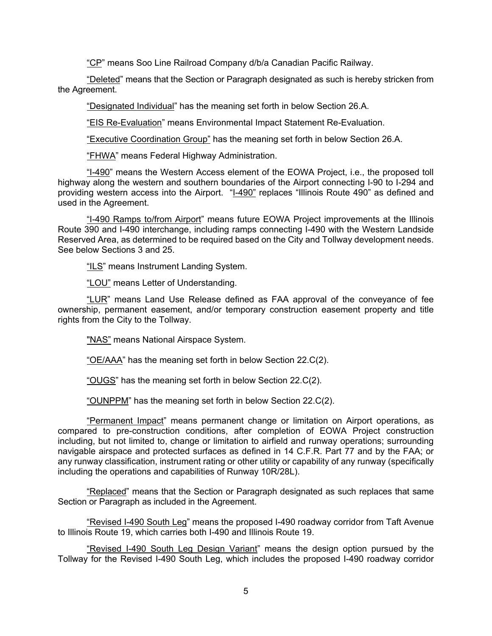"CP" means Soo Line Railroad Company d/b/a Canadian Pacific Railway.

"Deleted" means that the Section or Paragraph designated as such is hereby stricken from the Agreement.

"Designated Individual" has the meaning set forth in below Section 26.A.

"EIS Re-Evaluation" means Environmental Impact Statement Re-Evaluation.

"Executive Coordination Group" has the meaning set forth in below Section 26.A.

"FHWA" means Federal Highway Administration.

"I-490" means the Western Access element of the EOWA Project, i.e., the proposed toll highway along the western and southern boundaries of the Airport connecting I-90 to I-294 and providing western access into the Airport. "I-490" replaces "Illinois Route 490" as defined and used in the Agreement.

"I-490 Ramps to/from **Airport**" means future EOWA Project improvements at the Illinois Route 390 and I-490 interchange, including ramps connecting I-490 with the Western Landside Reserved Area, as determined to be required based on the City and Tollway development needs. See below Sections 3 and 25.

"ILS" means Instrument Landing System.

"LOU" means Letter of Understanding.

"LUR" means Land Use Release defined as FAA approval of the conveyance of fee ownership, permanent easement, and/or temporary construction easement property and title rights from the City to the Tollway.

"NAS" means National Airspace System.

"OE/AAA" has the meaning set forth in below Section 22.C(2).

"OUGS" has the meaning set forth in below Section 22.C(2).

"OUNPPM" has the meaning set forth in below Section 22.C(2).

"Permanent Impact" means permanent change or limitation on Airport operations, as compared to pre-construction conditions, after completion of EOWA Project construction including, but not limited to, change or limitation to airfield and runway operations; surrounding navigable airspace and protected surfaces as defined in 14 C.F.R. Part 77 and by the FAA; or any runway classification, instrument rating or other utility or capability of any runway (specifically including the operations and capabilities of Runway 10R/28L).

"Replaced" means that the Section or Paragraph designated as such replaces that same Section or Paragraph as included in the Agreement.

"Revised I-490 South Leg" means the proposed I-490 roadway corridor from Taft Avenue to Illinois Route 19, which carries both I-490 and Illinois Route 19.

"Revised I-490 South Leg Design Variant" means the design option pursued by the Tollway for the Revised I-490 South Leg, which includes the proposed I-490 roadway corridor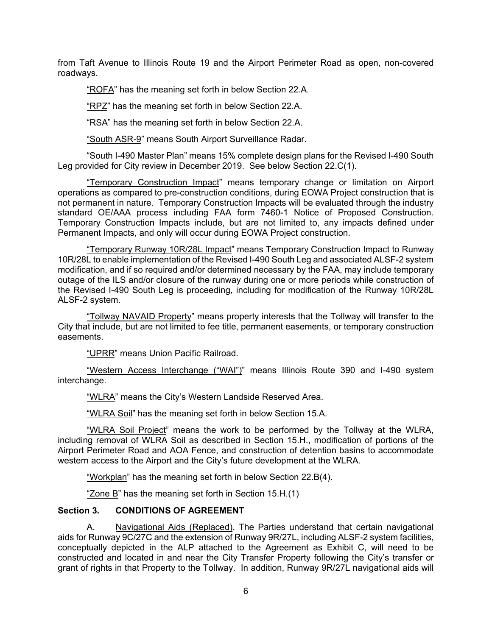from Taft Avenue to Illinois Route 19 and the Airport Perimeter Road as open, non-covered roadways.

"ROFA" has the meaning set forth in below Section 22.A.

"RPZ" has the meaning set forth in below Section 22.A.

"RSA" has the meaning set forth in below Section 22.A.

"South ASR-9" means South Airport Surveillance Radar.

"South I-490 Master Plan" means 15% complete design plans for the Revised I-490 South Leg provided for City review in December 2019. See below Section 22.C(1).

"Temporary Construction Impact" means temporary change or limitation on Airport operations as compared to pre-construction conditions, during EOWA Project construction that is not permanent in nature. Temporary Construction Impacts will be evaluated through the industry standard OE/AAA process including FAA form 7460-1 Notice of Proposed Construction. Temporary Construction Impacts include, but are not limited to, any impacts defined under Permanent Impacts, and only will occur during EOWA Project construction.

"Temporary Runway 10R/28L Impact" means Temporary Construction Impact to Runway 10R/28L to enable implementation of the Revised I-490 South Leg and associated ALSF-2 system modification, and if so required and/or determined necessary by the FAA, may include temporary outage of the ILS and/or closure of the runway during one or more periods while construction of the Revised I-490 South Leg is proceeding, including for modification of the Runway 10R/28L ALSF-2 system.

"Tollway NAVAID Property" means property interests that the Tollway will transfer to the City that include, but are not limited to fee title, permanent easements, or temporary construction easements.

"UPRR" means Union Pacific Railroad.

"Western Access Interchange ("WAI")" means Illinois Route 390 and I-490 system interchange.

"WLRA" means the City's Western Landside Reserved Area.

"WLRA Soil" has the meaning set forth in below Section 15.A.

"WLRA Soil Project" means the work to be performed by the Tollway at the WLRA, including removal of WLRA Soil as described in Section 15.H., modification of portions of the Airport Perimeter Road and AOA Fence, and construction of detention basins to accommodate western access to the Airport and the City's future development at the WLRA.

"Workplan" has the meaning set forth in below Section 22.B(4).

"Zone B" has the meaning set forth in Section 15.H.(1)

# **Section 3. CONDITIONS OF AGREEMENT**

A. Navigational Aids (Replaced). The Parties understand that certain navigational aids for Runway 9C/27C and the extension of Runway 9R/27L, including ALSF-2 system facilities, conceptually depicted in the ALP attached to the Agreement as Exhibit C, will need to be constructed and located in and near the City Transfer Property following the City's transfer or grant of rights in that Property to the Tollway. In addition, Runway 9R/27L navigational aids will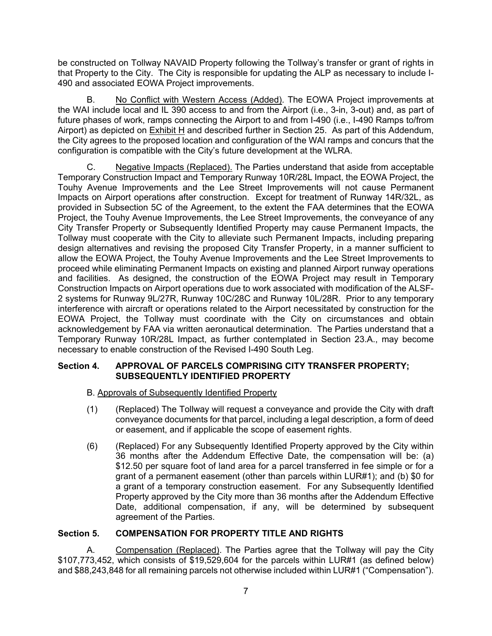be constructed on Tollway NAVAID Property following the Tollway's transfer or grant of rights in that Property to the City. The City is responsible for updating the ALP as necessary to include I-490 and associated EOWA Project improvements.

B. No Conflict with Western Access (Added). The EOWA Project improvements at the WAI include local and IL 390 access to and from the Airport (i.e., 3-in, 3-out) and, as part of future phases of work, ramps connecting the Airport to and from I-490 (i.e., I-490 Ramps to/from Airport) as depicted on Exhibit H and described further in Section 25. As part of this Addendum, the City agrees to the proposed location and configuration of the WAI ramps and concurs that the configuration is compatible with the City's future development at the WLRA.

C. Negative Impacts (Replaced). The Parties understand that aside from acceptable Temporary Construction Impact and Temporary Runway 10R/28L Impact, the EOWA Project, the Touhy Avenue Improvements and the Lee Street Improvements will not cause Permanent Impacts on Airport operations after construction. Except for treatment of Runway 14R/32L, as provided in Subsection 5C of the Agreement, to the extent the FAA determines that the EOWA Project, the Touhy Avenue Improvements, the Lee Street Improvements, the conveyance of any City Transfer Property or Subsequently Identified Property may cause Permanent Impacts, the Tollway must cooperate with the City to alleviate such Permanent Impacts, including preparing design alternatives and revising the proposed City Transfer Property, in a manner sufficient to allow the EOWA Project, the Touhy Avenue Improvements and the Lee Street Improvements to proceed while eliminating Permanent Impacts on existing and planned Airport runway operations and facilities. As designed, the construction of the EOWA Project may result in Temporary Construction Impacts on Airport operations due to work associated with modification of the ALSF-2 systems for Runway 9L/27R, Runway 10C/28C and Runway 10L/28R. Prior to any temporary interference with aircraft or operations related to the Airport necessitated by construction for the EOWA Project, the Tollway must coordinate with the City on circumstances and obtain acknowledgement by FAA via written aeronautical determination. The Parties understand that a Temporary Runway 10R/28L Impact, as further contemplated in Section 23.A., may become necessary to enable construction of the Revised I-490 South Leg.

## **Section 4. APPROVAL OF PARCELS COMPRISING CITY TRANSFER PROPERTY; SUBSEQUENTLY IDENTIFIED PROPERTY**

# B. Approvals of Subsequently Identified Property

- (1) (Replaced) The Tollway will request a conveyance and provide the City with draft conveyance documents for that parcel, including a legal description, a form of deed or easement, and if applicable the scope of easement rights.
- (6) (Replaced) For any Subsequently Identified Property approved by the City within 36 months after the Addendum Effective Date, the compensation will be: (a) \$12.50 per square foot of land area for a parcel transferred in fee simple or for a grant of a permanent easement (other than parcels within LUR#1); and (b) \$0 for a grant of a temporary construction easement. For any Subsequently Identified Property approved by the City more than 36 months after the Addendum Effective Date, additional compensation, if any, will be determined by subsequent agreement of the Parties.

# **Section 5. COMPENSATION FOR PROPERTY TITLE AND RIGHTS**

A. Compensation (Replaced). The Parties agree that the Tollway will pay the City \$107,773,452, which consists of \$19,529,604 for the parcels within LUR#1 (as defined below) and \$88,243,848 for all remaining parcels not otherwise included within LUR#1 ("Compensation").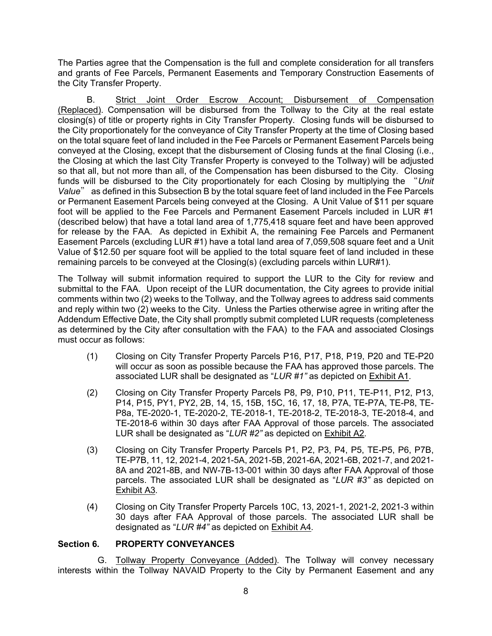The Parties agree that the Compensation is the full and complete consideration for all transfers and grants of Fee Parcels, Permanent Easements and Temporary Construction Easements of the City Transfer Property.

B. Strict Joint Order Escrow Account; Disbursement of Compensation (Replaced). Compensation will be disbursed from the Tollway to the City at the real estate closing(s) of title or property rights in City Transfer Property. Closing funds will be disbursed to the City proportionately for the conveyance of City Transfer Property at the time of Closing based on the total square feet of land included in the Fee Parcels or Permanent Easement Parcels being conveyed at the Closing, except that the disbursement of Closing funds at the final Closing (i.e., the Closing at which the last City Transfer Property is conveyed to the Tollway) will be adjusted so that all, but not more than all, of the Compensation has been disbursed to the City. Closing funds will be disbursed to the City proportionately for each Closing by multiplying the "*Unit Value*" as defined in this Subsection B by the total square feet of land included in the Fee Parcels or Permanent Easement Parcels being conveyed at the Closing. A Unit Value of \$11 per square foot will be applied to the Fee Parcels and Permanent Easement Parcels included in LUR #1 (described below) that have a total land area of 1,775,418 square feet and have been approved for release by the FAA. As depicted in Exhibit A, the remaining Fee Parcels and Permanent Easement Parcels (excluding LUR #1) have a total land area of 7,059,508 square feet and a Unit Value of \$12.50 per square foot will be applied to the total square feet of land included in these remaining parcels to be conveyed at the Closing(s) (excluding parcels within LUR#1).

The Tollway will submit information required to support the LUR to the City for review and submittal to the FAA. Upon receipt of the LUR documentation, the City agrees to provide initial comments within two (2) weeks to the Tollway, and the Tollway agrees to address said comments and reply within two (2) weeks to the City. Unless the Parties otherwise agree in writing after the Addendum Effective Date, the City shall promptly submit completed LUR requests (completeness as determined by the City after consultation with the FAA) to the FAA and associated Closings must occur as follows:

- (1) Closing on City Transfer Property Parcels P16, P17, P18, P19, P20 and TE-P20 will occur as soon as possible because the FAA has approved those parcels. The associated LUR shall be designated as "*LUR #1"* as depicted on Exhibit A1*.*
- (2) Closing on City Transfer Property Parcels P8, P9, P10, P11, TE-P11, P12, P13, P14, P15, PY1, PY2, 2B, 14, 15, 15B, 15C, 16, 17, 18, P7A, TE-P7A, TE-P8, TE-P8a, TE-2020-1, TE-2020-2, TE-2018-1, TE-2018-2, TE-2018-3, TE-2018-4, and TE-2018-6 within 30 days after FAA Approval of those parcels. The associated LUR shall be designated as "*LUR #2"* as depicted on Exhibit A2*.*
- (3) Closing on City Transfer Property Parcels P1, P2, P3, P4, P5, TE-P5, P6, P7B, TE-P7B, 11, 12, 2021-4, 2021-5A, 2021-5B, 2021-6A, 2021-6B, 2021-7, and 2021- 8A and 2021-8B, and NW-7B-13-001 within 30 days after FAA Approval of those parcels. The associated LUR shall be designated as "*LUR #3"* as depicted on Exhibit A3*.*
- (4) Closing on City Transfer Property Parcels 10C, 13, 2021-1, 2021-2, 2021-3 within 30 days after FAA Approval of those parcels. The associated LUR shall be designated as "*LUR #4"* as depicted on Exhibit A4*.*

## **Section 6. PROPERTY CONVEYANCES**

G. Tollway Property Conveyance (Added). The Tollway will convey necessary interests within the Tollway NAVAID Property to the City by Permanent Easement and any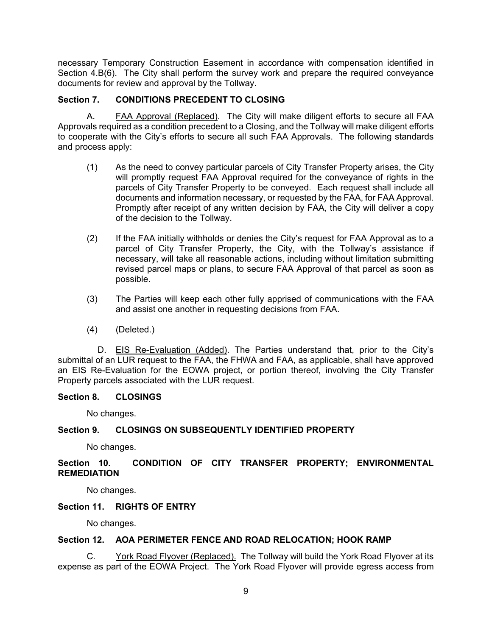necessary Temporary Construction Easement in accordance with compensation identified in Section 4.B(6). The City shall perform the survey work and prepare the required conveyance documents for review and approval by the Tollway.

## **Section 7. CONDITIONS PRECEDENT TO CLOSING**

A. FAA Approval (Replaced). The City will make diligent efforts to secure all FAA Approvals required as a condition precedent to a Closing, and the Tollway will make diligent efforts to cooperate with the City's efforts to secure all such FAA Approvals. The following standards and process apply:

- (1) As the need to convey particular parcels of City Transfer Property arises, the City will promptly request FAA Approval required for the conveyance of rights in the parcels of City Transfer Property to be conveyed. Each request shall include all documents and information necessary, or requested by the FAA, for FAA Approval. Promptly after receipt of any written decision by FAA, the City will deliver a copy of the decision to the Tollway.
- (2) If the FAA initially withholds or denies the City's request for FAA Approval as to a parcel of City Transfer Property, the City, with the Tollway's assistance if necessary, will take all reasonable actions, including without limitation submitting revised parcel maps or plans, to secure FAA Approval of that parcel as soon as possible.
- (3) The Parties will keep each other fully apprised of communications with the FAA and assist one another in requesting decisions from FAA.
- (4) (Deleted.)

D. EIS Re-Evaluation (Added). The Parties understand that, prior to the City's submittal of an LUR request to the FAA, the FHWA and FAA, as applicable, shall have approved an EIS Re-Evaluation for the EOWA project, or portion thereof, involving the City Transfer Property parcels associated with the LUR request.

## **Section 8. CLOSINGS**

No changes.

## **Section 9. CLOSINGS ON SUBSEQUENTLY IDENTIFIED PROPERTY**

No changes.

## **Section 10. CONDITION OF CITY TRANSFER PROPERTY; ENVIRONMENTAL REMEDIATION**

No changes.

## **Section 11. RIGHTS OF ENTRY**

No changes.

#### **Section 12. AOA PERIMETER FENCE AND ROAD RELOCATION; HOOK RAMP**

C. York Road Flyover (Replaced). The Tollway will build the York Road Flyover at its expense as part of the EOWA Project. The York Road Flyover will provide egress access from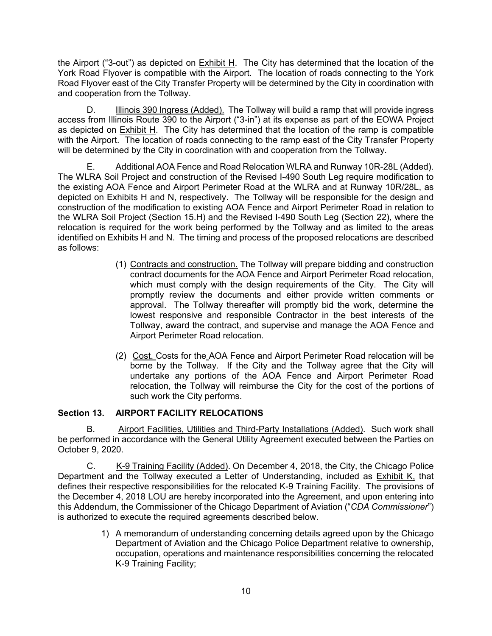the Airport ("3-out") as depicted on Exhibit H. The City has determined that the location of the York Road Flyover is compatible with the Airport. The location of roads connecting to the York Road Flyover east of the City Transfer Property will be determined by the City in coordination with and cooperation from the Tollway.

D. **Illinois 390 Ingress (Added)**. The Tollway will build a ramp that will provide ingress access from Illinois Route 390 to the Airport ("3-in") at its expense as part of the EOWA Project as depicted on Exhibit H. The City has determined that the location of the ramp is compatible with the Airport. The location of roads connecting to the ramp east of the City Transfer Property will be determined by the City in coordination with and cooperation from the Tollway.

E. Additional AOA Fence and Road Relocation WLRA and Runway 10R-28L (Added). The WLRA Soil Project and construction of the Revised I-490 South Leg require modification to the existing AOA Fence and Airport Perimeter Road at the WLRA and at Runway 10R/28L, as depicted on Exhibits H and N, respectively. The Tollway will be responsible for the design and construction of the modification to existing AOA Fence and Airport Perimeter Road in relation to the WLRA Soil Project (Section 15.H) and the Revised I-490 South Leg (Section 22), where the relocation is required for the work being performed by the Tollway and as limited to the areas identified on Exhibits H and N. The timing and process of the proposed relocations are described as follows:

- (1) Contracts and construction. The Tollway will prepare bidding and construction contract documents for the AOA Fence and Airport Perimeter Road relocation, which must comply with the design requirements of the City. The City will promptly review the documents and either provide written comments or approval. The Tollway thereafter will promptly bid the work, determine the lowest responsive and responsible Contractor in the best interests of the Tollway, award the contract, and supervise and manage the AOA Fence and Airport Perimeter Road relocation.
- (2) Cost. Costs for the AOA Fence and Airport Perimeter Road relocation will be borne by the Tollway. If the City and the Tollway agree that the City will undertake any portions of the AOA Fence and Airport Perimeter Road relocation, the Tollway will reimburse the City for the cost of the portions of such work the City performs.

# **Section 13. AIRPORT FACILITY RELOCATIONS**

B. Airport Facilities, Utilities and Third-Party Installations (Added). Such work shall be performed in accordance with the General Utility Agreement executed between the Parties on October 9, 2020.

C. K-9 Training Facility (Added). On December 4, 2018, the City, the Chicago Police Department and the Tollway executed a Letter of Understanding, included as Exhibit K, that defines their respective responsibilities for the relocated K-9 Training Facility. The provisions of the December 4, 2018 LOU are hereby incorporated into the Agreement, and upon entering into this Addendum, the Commissioner of the Chicago Department of Aviation ("*CDA Commissioner*") is authorized to execute the required agreements described below.

> 1) A memorandum of understanding concerning details agreed upon by the Chicago Department of Aviation and the Chicago Police Department relative to ownership, occupation, operations and maintenance responsibilities concerning the relocated K-9 Training Facility;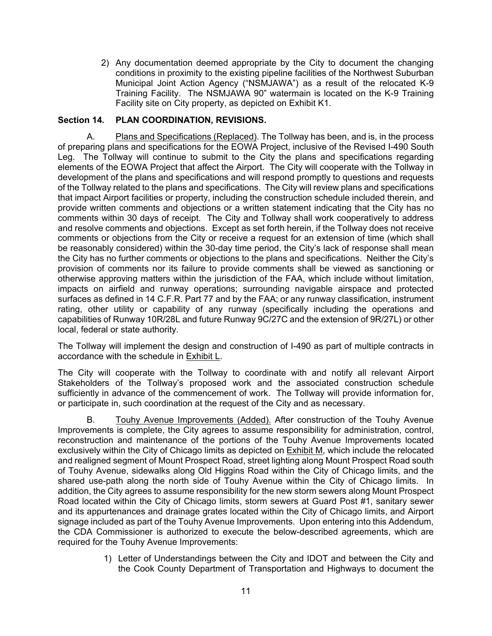2) Any documentation deemed appropriate by the City to document the changing conditions in proximity to the existing pipeline facilities of the Northwest Suburban Municipal Joint Action Agency ("NSMJAWA") as a result of the relocated K-9 Training Facility. The NSMJAWA 90" watermain is located on the K-9 Training Facility site on City property, as depicted on Exhibit K1.

## **Section 14. PLAN COORDINATION, REVISIONS.**

A. Plans and Specifications (Replaced). The Tollway has been, and is, in the process of preparing plans and specifications for the EOWA Project, inclusive of the Revised I-490 South Leg. The Tollway will continue to submit to the City the plans and specifications regarding elements of the EOWA Project that affect the Airport. The City will cooperate with the Tollway in development of the plans and specifications and will respond promptly to questions and requests of the Tollway related to the plans and specifications. The City will review plans and specifications that impact Airport facilities or property, including the construction schedule included therein, and provide written comments and objections or a written statement indicating that the City has no comments within 30 days of receipt. The City and Tollway shall work cooperatively to address and resolve comments and objections. Except as set forth herein, if the Tollway does not receive comments or objections from the City or receive a request for an extension of time (which shall be reasonably considered) within the 30-day time period, the City's lack of response shall mean the City has no further comments or objections to the plans and specifications. Neither the City's provision of comments nor its failure to provide comments shall be viewed as sanctioning or otherwise approving matters within the jurisdiction of the FAA, which include without limitation, impacts on airfield and runway operations; surrounding navigable airspace and protected surfaces as defined in 14 C.F.R. Part 77 and by the FAA; or any runway classification, instrument rating, other utility or capability of any runway (specifically including the operations and capabilities of Runway 10R/28L and future Runway 9C/27C and the extension of 9R/27L) or other local, federal or state authority.

The Tollway will implement the design and construction of I-490 as part of multiple contracts in accordance with the schedule in Exhibit L.

The City will cooperate with the Tollway to coordinate with and notify all relevant Airport Stakeholders of the Tollway's proposed work and the associated construction schedule sufficiently in advance of the commencement of work. The Tollway will provide information for, or participate in, such coordination at the request of the City and as necessary.

B. Touhy Avenue Improvements (Added). After construction of the Touhy Avenue Improvements is complete, the City agrees to assume responsibility for administration, control, reconstruction and maintenance of the portions of the Touhy Avenue Improvements located exclusively within the City of Chicago limits as depicted on **Exhibit M**, which include the relocated and realigned segment of Mount Prospect Road, street lighting along Mount Prospect Road south of Touhy Avenue, sidewalks along Old Higgins Road within the City of Chicago limits, and the shared use-path along the north side of Touhy Avenue within the City of Chicago limits. In addition, the City agrees to assume responsibility for the new storm sewers along Mount Prospect Road located within the City of Chicago limits, storm sewers at Guard Post #1, sanitary sewer and its appurtenances and drainage grates located within the City of Chicago limits, and Airport signage included as part of the Touhy Avenue Improvements. Upon entering into this Addendum, the CDA Commissioner is authorized to execute the below-described agreements, which are required for the Touhy Avenue Improvements:

> 1) Letter of Understandings between the City and IDOT and between the City and the Cook County Department of Transportation and Highways to document the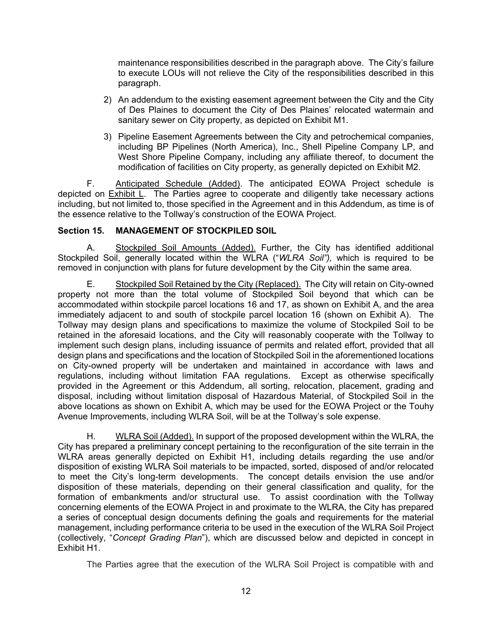maintenance responsibilities described in the paragraph above. The City's failure to execute LOUs will not relieve the City of the responsibilities described in this paragraph.

- 2) An addendum to the existing easement agreement between the City and the City of Des Plaines to document the City of Des Plaines' relocated watermain and sanitary sewer on City property, as depicted on Exhibit M1.
- 3) Pipeline Easement Agreements between the City and petrochemical companies, including BP Pipelines (North America), Inc., Shell Pipeline Company LP, and West Shore Pipeline Company, including any affiliate thereof, to document the modification of facilities on City property, as generally depicted on Exhibit M2.

F. Anticipated Schedule (Added). The anticipated EOWA Project schedule is depicted on **Exhibit L**. The Parties agree to cooperate and diligently take necessary actions including, but not limited to, those specified in the Agreement and in this Addendum, as time is of the essence relative to the Tollway's construction of the EOWA Project.

# **Section 15. MANAGEMENT OF STOCKPILED SOIL**

A. Stockpiled Soil Amounts (Added). Further, the City has identified additional Stockpiled Soil, generally located within the WLRA ("*WLRA Soil"),* which is required to be removed in conjunction with plans for future development by the City within the same area.

E. Stockpiled Soil Retained by the City (Replaced). The City will retain on City-owned property not more than the total volume of Stockpiled Soil beyond that which can be accommodated within stockpile parcel locations 16 and 17, as shown on Exhibit A, and the area immediately adjacent to and south of stockpile parcel location 16 (shown on Exhibit A). The Tollway may design plans and specifications to maximize the volume of Stockpiled Soil to be retained in the aforesaid locations, and the City will reasonably cooperate with the Tollway to implement such design plans, including issuance of permits and related effort, provided that all design plans and specifications and the location of Stockpiled Soil in the aforementioned locations on City-owned property will be undertaken and maintained in accordance with laws and regulations, including without limitation FAA regulations. Except as otherwise specifically provided in the Agreement or this Addendum, all sorting, relocation, placement, grading and disposal, including without limitation disposal of Hazardous Material, of Stockpiled Soil in the above locations as shown on Exhibit A, which may be used for the EOWA Project or the Touhy Avenue Improvements, including WLRA Soil, will be at the Tollway's sole expense.

H. WLRA Soil (Added). In support of the proposed development within the WLRA, the City has prepared a preliminary concept pertaining to the reconfiguration of the site terrain in the WLRA areas generally depicted on Exhibit H1, including details regarding the use and/or disposition of existing WLRA Soil materials to be impacted, sorted, disposed of and/or relocated to meet the City's long-term developments. The concept details envision the use and/or disposition of these materials, depending on their general classification and quality, for the formation of embankments and/or structural use. To assist coordination with the Tollway concerning elements of the EOWA Project in and proximate to the WLRA, the City has prepared a series of conceptual design documents defining the goals and requirements for the material management, including performance criteria to be used in the execution of the WLRA Soil Project (collectively, "*Concept Grading Plan*"), which are discussed below and depicted in concept in Exhibit H1.

The Parties agree that the execution of the WLRA Soil Project is compatible with and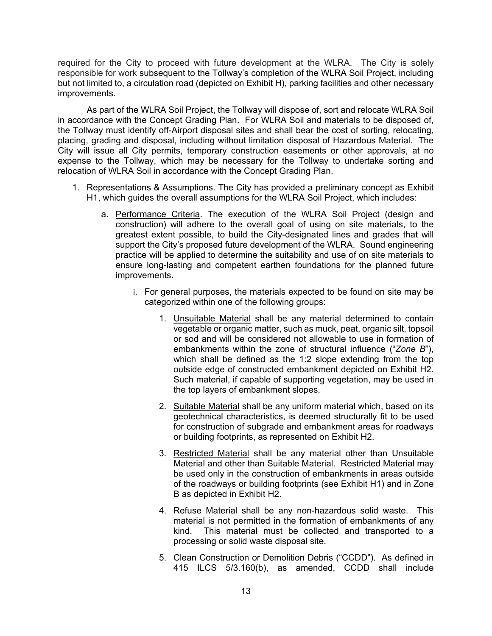required for the City to proceed with future development at the WLRA. The City is solely responsible for work subsequent to the Tollway's completion of the WLRA Soil Project, including but not limited to, a circulation road (depicted on Exhibit H), parking facilities and other necessary improvements.

As part of the WLRA Soil Project, the Tollway will dispose of, sort and relocate WLRA Soil in accordance with the Concept Grading Plan. For WLRA Soil and materials to be disposed of, the Tollway must identify off-Airport disposal sites and shall bear the cost of sorting, relocating, placing, grading and disposal, including without limitation disposal of Hazardous Material. The City will issue all City permits, temporary construction easements or other approvals, at no expense to the Tollway, which may be necessary for the Tollway to undertake sorting and relocation of WLRA Soil in accordance with the Concept Grading Plan.

- 1. Representations & Assumptions. The City has provided a preliminary concept as Exhibit H1, which guides the overall assumptions for the WLRA Soil Project, which includes:
	- a. Performance Criteria. The execution of the WLRA Soil Project (design and construction) will adhere to the overall goal of using on site materials, to the greatest extent possible, to build the City-designated lines and grades that will support the City's proposed future development of the WLRA. Sound engineering practice will be applied to determine the suitability and use of on site materials to ensure long-lasting and competent earthen foundations for the planned future improvements.
		- i. For general purposes, the materials expected to be found on site may be categorized within one of the following groups:
			- 1. Unsuitable Material shall be any material determined to contain vegetable or organic matter, such as muck, peat, organic silt, topsoil or sod and will be considered not allowable to use in formation of embankments within the zone of structural influence ("*Zone B*"), which shall be defined as the 1:2 slope extending from the top outside edge of constructed embankment depicted on Exhibit H2. Such material, if capable of supporting vegetation, may be used in the top layers of embankment slopes.
			- 2. Suitable Material shall be any uniform material which, based on its geotechnical characteristics, is deemed structurally fit to be used for construction of subgrade and embankment areas for roadways or building footprints, as represented on Exhibit H2.
			- 3. Restricted Material shall be any material other than Unsuitable Material and other than Suitable Material. Restricted Material may be used only in the construction of embankments in areas outside of the roadways or building footprints (see Exhibit H1) and in Zone B as depicted in Exhibit H2.
			- 4. Refuse Material shall be any non-hazardous solid waste. This material is not permitted in the formation of embankments of any kind. This material must be collected and transported to a processing or solid waste disposal site.
			- 5. Clean Construction or Demolition Debris ("CCDD"). As defined in 415 ILCS 5/3.160(b), as amended, CCDD shall include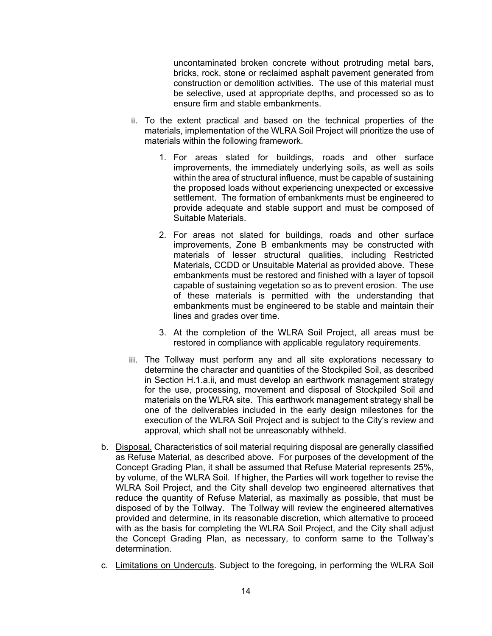uncontaminated broken concrete without protruding metal bars, bricks, rock, stone or reclaimed asphalt pavement generated from construction or demolition activities. The use of this material must be selective, used at appropriate depths, and processed so as to ensure firm and stable embankments.

- ii. To the extent practical and based on the technical properties of the materials, implementation of the WLRA Soil Project will prioritize the use of materials within the following framework.
	- 1. For areas slated for buildings, roads and other surface improvements, the immediately underlying soils, as well as soils within the area of structural influence, must be capable of sustaining the proposed loads without experiencing unexpected or excessive settlement. The formation of embankments must be engineered to provide adequate and stable support and must be composed of Suitable Materials.
	- 2. For areas not slated for buildings, roads and other surface improvements, Zone B embankments may be constructed with materials of lesser structural qualities, including Restricted Materials, CCDD or Unsuitable Material as provided above. These embankments must be restored and finished with a layer of topsoil capable of sustaining vegetation so as to prevent erosion. The use of these materials is permitted with the understanding that embankments must be engineered to be stable and maintain their lines and grades over time.
	- 3. At the completion of the WLRA Soil Project, all areas must be restored in compliance with applicable regulatory requirements.
- iii. The Tollway must perform any and all site explorations necessary to determine the character and quantities of the Stockpiled Soil, as described in Section H.1.a.ii, and must develop an earthwork management strategy for the use, processing, movement and disposal of Stockpiled Soil and materials on the WLRA site. This earthwork management strategy shall be one of the deliverables included in the early design milestones for the execution of the WLRA Soil Project and is subject to the City's review and approval, which shall not be unreasonably withheld.
- b. Disposal. Characteristics of soil material requiring disposal are generally classified as Refuse Material, as described above. For purposes of the development of the Concept Grading Plan, it shall be assumed that Refuse Material represents 25%, by volume, of the WLRA Soil. If higher, the Parties will work together to revise the WLRA Soil Project, and the City shall develop two engineered alternatives that reduce the quantity of Refuse Material, as maximally as possible, that must be disposed of by the Tollway. The Tollway will review the engineered alternatives provided and determine, in its reasonable discretion, which alternative to proceed with as the basis for completing the WLRA Soil Project, and the City shall adjust the Concept Grading Plan, as necessary, to conform same to the Tollway's determination.
- c. Limitations on Undercuts. Subject to the foregoing, in performing the WLRA Soil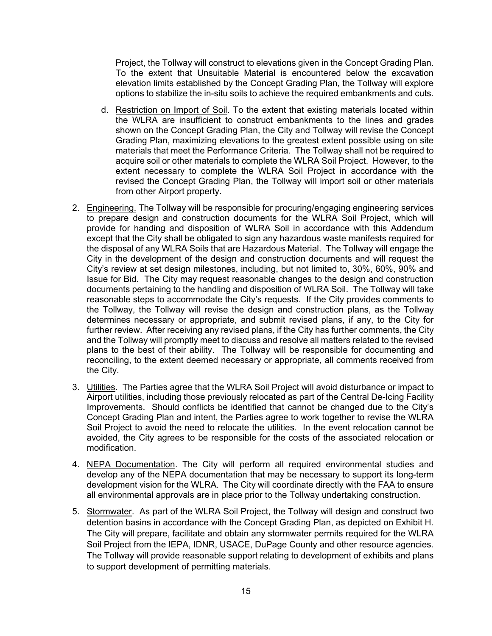Project, the Tollway will construct to elevations given in the Concept Grading Plan. To the extent that Unsuitable Material is encountered below the excavation elevation limits established by the Concept Grading Plan, the Tollway will explore options to stabilize the in-situ soils to achieve the required embankments and cuts.

- d. Restriction on Import of Soil. To the extent that existing materials located within the WLRA are insufficient to construct embankments to the lines and grades shown on the Concept Grading Plan, the City and Tollway will revise the Concept Grading Plan, maximizing elevations to the greatest extent possible using on site materials that meet the Performance Criteria. The Tollway shall not be required to acquire soil or other materials to complete the WLRA Soil Project. However, to the extent necessary to complete the WLRA Soil Project in accordance with the revised the Concept Grading Plan, the Tollway will import soil or other materials from other Airport property.
- 2. Engineering. The Tollway will be responsible for procuring/engaging engineering services to prepare design and construction documents for the WLRA Soil Project, which will provide for handing and disposition of WLRA Soil in accordance with this Addendum except that the City shall be obligated to sign any hazardous waste manifests required for the disposal of any WLRA Soils that are Hazardous Material. The Tollway will engage the City in the development of the design and construction documents and will request the City's review at set design milestones, including, but not limited to, 30%, 60%, 90% and Issue for Bid. The City may request reasonable changes to the design and construction documents pertaining to the handling and disposition of WLRA Soil. The Tollway will take reasonable steps to accommodate the City's requests. If the City provides comments to the Tollway, the Tollway will revise the design and construction plans, as the Tollway determines necessary or appropriate, and submit revised plans, if any, to the City for further review. After receiving any revised plans, if the City has further comments, the City and the Tollway will promptly meet to discuss and resolve all matters related to the revised plans to the best of their ability. The Tollway will be responsible for documenting and reconciling, to the extent deemed necessary or appropriate, all comments received from the City.
- 3. Utilities. The Parties agree that the WLRA Soil Project will avoid disturbance or impact to Airport utilities, including those previously relocated as part of the Central De-Icing Facility Improvements. Should conflicts be identified that cannot be changed due to the City's Concept Grading Plan and intent, the Parties agree to work together to revise the WLRA Soil Project to avoid the need to relocate the utilities. In the event relocation cannot be avoided, the City agrees to be responsible for the costs of the associated relocation or modification.
- 4. NEPA Documentation. The City will perform all required environmental studies and develop any of the NEPA documentation that may be necessary to support its long-term development vision for the WLRA. The City will coordinate directly with the FAA to ensure all environmental approvals are in place prior to the Tollway undertaking construction.
- 5. Stormwater. As part of the WLRA Soil Project, the Tollway will design and construct two detention basins in accordance with the Concept Grading Plan, as depicted on Exhibit H. The City will prepare, facilitate and obtain any stormwater permits required for the WLRA Soil Project from the IEPA, IDNR, USACE, DuPage County and other resource agencies. The Tollway will provide reasonable support relating to development of exhibits and plans to support development of permitting materials.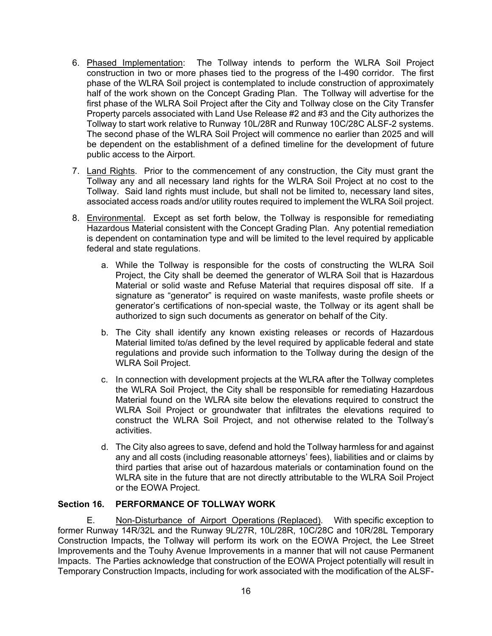- 6. Phased Implementation: The Tollway intends to perform the WLRA Soil Project construction in two or more phases tied to the progress of the I-490 corridor. The first phase of the WLRA Soil project is contemplated to include construction of approximately half of the work shown on the Concept Grading Plan. The Tollway will advertise for the first phase of the WLRA Soil Project after the City and Tollway close on the City Transfer Property parcels associated with Land Use Release #2 and #3 and the City authorizes the Tollway to start work relative to Runway 10L/28R and Runway 10C/28C ALSF-2 systems. The second phase of the WLRA Soil Project will commence no earlier than 2025 and will be dependent on the establishment of a defined timeline for the development of future public access to the Airport.
- 7. Land Rights. Prior to the commencement of any construction, the City must grant the Tollway any and all necessary land rights for the WLRA Soil Project at no cost to the Tollway. Said land rights must include, but shall not be limited to, necessary land sites, associated access roads and/or utility routes required to implement the WLRA Soil project.
- 8. Environmental. Except as set forth below, the Tollway is responsible for remediating Hazardous Material consistent with the Concept Grading Plan. Any potential remediation is dependent on contamination type and will be limited to the level required by applicable federal and state regulations.
	- a. While the Tollway is responsible for the costs of constructing the WLRA Soil Project, the City shall be deemed the generator of WLRA Soil that is Hazardous Material or solid waste and Refuse Material that requires disposal off site. If a signature as "generator" is required on waste manifests, waste profile sheets or generator's certifications of non-special waste, the Tollway or its agent shall be authorized to sign such documents as generator on behalf of the City.
	- b. The City shall identify any known existing releases or records of Hazardous Material limited to/as defined by the level required by applicable federal and state regulations and provide such information to the Tollway during the design of the WLRA Soil Project.
	- c. In connection with development projects at the WLRA after the Tollway completes the WLRA Soil Project, the City shall be responsible for remediating Hazardous Material found on the WLRA site below the elevations required to construct the WLRA Soil Project or groundwater that infiltrates the elevations required to construct the WLRA Soil Project, and not otherwise related to the Tollway's activities.
	- d. The City also agrees to save, defend and hold the Tollway harmless for and against any and all costs (including reasonable attorneys' fees), liabilities and or claims by third parties that arise out of hazardous materials or contamination found on the WLRA site in the future that are not directly attributable to the WLRA Soil Project or the EOWA Project.

# **Section 16. PERFORMANCE OF TOLLWAY WORK**

E. Non-Disturbance of Airport Operations (Replaced). With specific exception to former Runway 14R/32L and the Runway 9L/27R, 10L/28R, 10C/28C and 10R/28L Temporary Construction Impacts, the Tollway will perform its work on the EOWA Project, the Lee Street Improvements and the Touhy Avenue Improvements in a manner that will not cause Permanent Impacts. The Parties acknowledge that construction of the EOWA Project potentially will result in Temporary Construction Impacts, including for work associated with the modification of the ALSF-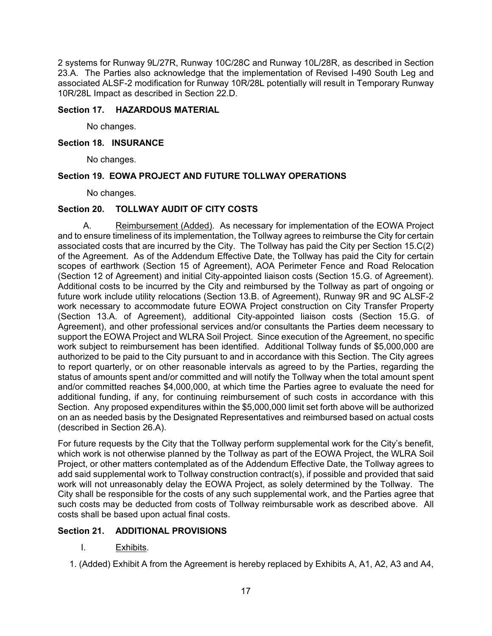2 systems for Runway 9L/27R, Runway 10C/28C and Runway 10L/28R, as described in Section 23.A. The Parties also acknowledge that the implementation of Revised I-490 South Leg and associated ALSF-2 modification for Runway 10R/28L potentially will result in Temporary Runway 10R/28L Impact as described in Section 22.D.

## **Section 17. HAZARDOUS MATERIAL**

No changes.

## **Section 18. INSURANCE**

No changes.

## **Section 19. EOWA PROJECT AND FUTURE TOLLWAY OPERATIONS**

No changes.

## **Section 20. TOLLWAY AUDIT OF CITY COSTS**

A. Reimbursement (Added). As necessary for implementation of the EOWA Project and to ensure timeliness of its implementation, the Tollway agrees to reimburse the City for certain associated costs that are incurred by the City. The Tollway has paid the City per Section 15.C(2) of the Agreement. As of the Addendum Effective Date, the Tollway has paid the City for certain scopes of earthwork (Section 15 of Agreement), AOA Perimeter Fence and Road Relocation (Section 12 of Agreement) and initial City-appointed liaison costs (Section 15.G. of Agreement). Additional costs to be incurred by the City and reimbursed by the Tollway as part of ongoing or future work include utility relocations (Section 13.B. of Agreement), Runway 9R and 9C ALSF-2 work necessary to accommodate future EOWA Project construction on City Transfer Property (Section 13.A. of Agreement), additional City-appointed liaison costs (Section 15.G. of Agreement), and other professional services and/or consultants the Parties deem necessary to support the EOWA Project and WLRA Soil Project. Since execution of the Agreement, no specific work subject to reimbursement has been identified. Additional Tollway funds of \$5,000,000 are authorized to be paid to the City pursuant to and in accordance with this Section. The City agrees to report quarterly, or on other reasonable intervals as agreed to by the Parties, regarding the status of amounts spent and/or committed and will notify the Tollway when the total amount spent and/or committed reaches \$4,000,000, at which time the Parties agree to evaluate the need for additional funding, if any, for continuing reimbursement of such costs in accordance with this Section. Any proposed expenditures within the \$5,000,000 limit set forth above will be authorized on an as needed basis by the Designated Representatives and reimbursed based on actual costs (described in Section 26.A).

For future requests by the City that the Tollway perform supplemental work for the City's benefit, which work is not otherwise planned by the Tollway as part of the EOWA Project, the WLRA Soil Project, or other matters contemplated as of the Addendum Effective Date, the Tollway agrees to add said supplemental work to Tollway construction contract(s), if possible and provided that said work will not unreasonably delay the EOWA Project, as solely determined by the Tollway. The City shall be responsible for the costs of any such supplemental work, and the Parties agree that such costs may be deducted from costs of Tollway reimbursable work as described above. All costs shall be based upon actual final costs.

## **Section 21. ADDITIONAL PROVISIONS**

- I. Exhibits.
- 1. (Added) Exhibit A from the Agreement is hereby replaced by Exhibits A, A1, A2, A3 and A4,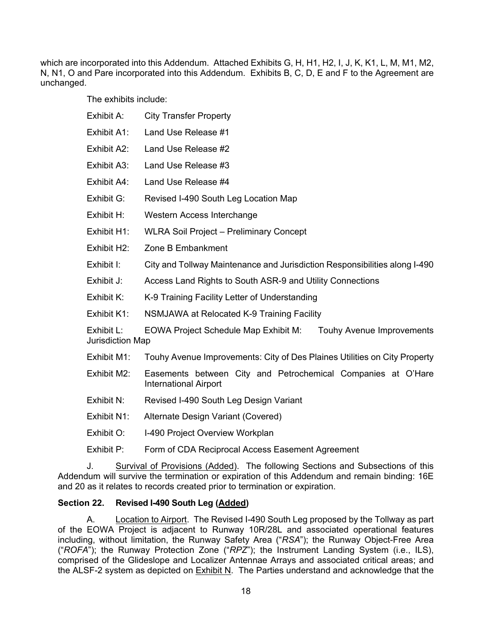which are incorporated into this Addendum. Attached Exhibits G, H, H1, H2, I, J, K, K1, L, M, M1, M2, N, N1, O and Pare incorporated into this Addendum. Exhibits B, C, D, E and F to the Agreement are unchanged.

The exhibits include:

| Exhibit A:                                                                                                           | <b>City Transfer Property</b>                                                                |  |
|----------------------------------------------------------------------------------------------------------------------|----------------------------------------------------------------------------------------------|--|
| Exhibit A1:                                                                                                          | Land Use Release #1                                                                          |  |
| Exhibit A2:                                                                                                          | Land Use Release #2                                                                          |  |
| Exhibit A3:                                                                                                          | Land Use Release #3                                                                          |  |
| Exhibit A4:                                                                                                          | Land Use Release #4                                                                          |  |
| Exhibit G:                                                                                                           | Revised I-490 South Leg Location Map                                                         |  |
| Exhibit H:                                                                                                           | Western Access Interchange                                                                   |  |
| Exhibit H1:                                                                                                          | <b>WLRA Soil Project - Preliminary Concept</b>                                               |  |
| Exhibit H <sub>2</sub> :                                                                                             | Zone B Embankment                                                                            |  |
| Exhibit I:                                                                                                           | City and Tollway Maintenance and Jurisdiction Responsibilities along I-490                   |  |
| Exhibit J:                                                                                                           | Access Land Rights to South ASR-9 and Utility Connections                                    |  |
| Exhibit K:                                                                                                           | K-9 Training Facility Letter of Understanding                                                |  |
| Exhibit K1:                                                                                                          | NSMJAWA at Relocated K-9 Training Facility                                                   |  |
| Exhibit $L$ :<br><b>EOWA Project Schedule Map Exhibit M:</b><br><b>Touhy Avenue Improvements</b><br>Jurisdiction Map |                                                                                              |  |
| Exhibit M1:                                                                                                          | Touhy Avenue Improvements: City of Des Plaines Utilities on City Property                    |  |
| Exhibit M2:                                                                                                          | Easements between City and Petrochemical Companies at O'Hare<br><b>International Airport</b> |  |
| Exhibit N:                                                                                                           | Revised I-490 South Leg Design Variant                                                       |  |
| Exhibit N1:                                                                                                          | Alternate Design Variant (Covered)                                                           |  |
| Exhibit O:                                                                                                           | I-490 Project Overview Workplan                                                              |  |
| Exhibit P:                                                                                                           | Form of CDA Reciprocal Access Easement Agreement                                             |  |

J. Survival of Provisions (Added). The following Sections and Subsections of this Addendum will survive the termination or expiration of this Addendum and remain binding: 16E and 20 as it relates to records created prior to termination or expiration.

# **Section 22. Revised I-490 South Leg (Added)**

A. Location to Airport. The Revised I-490 South Leg proposed by the Tollway as part of the EOWA Project is adjacent to Runway 10R/28L and associated operational features including, without limitation, the Runway Safety Area ("*RSA*"); the Runway Object-Free Area ("*ROFA*"); the Runway Protection Zone ("*RPZ*"); the Instrument Landing System (i.e., ILS), comprised of the Glideslope and Localizer Antennae Arrays and associated critical areas; and the ALSF-2 system as depicted on Exhibit N. The Parties understand and acknowledge that the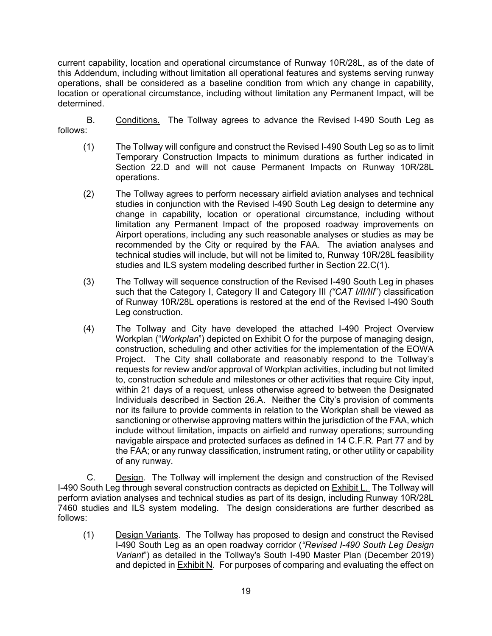current capability, location and operational circumstance of Runway 10R/28L, as of the date of this Addendum, including without limitation all operational features and systems serving runway operations, shall be considered as a baseline condition from which any change in capability, location or operational circumstance, including without limitation any Permanent Impact, will be determined.

B. Conditions. The Tollway agrees to advance the Revised I-490 South Leg as follows:

- (1) The Tollway will configure and construct the Revised I-490 South Leg so as to limit Temporary Construction Impacts to minimum durations as further indicated in Section 22.D and will not cause Permanent Impacts on Runway 10R/28L operations.
- (2) The Tollway agrees to perform necessary airfield aviation analyses and technical studies in conjunction with the Revised I-490 South Leg design to determine any change in capability, location or operational circumstance, including without limitation any Permanent Impact of the proposed roadway improvements on Airport operations, including any such reasonable analyses or studies as may be recommended by the City or required by the FAA. The aviation analyses and technical studies will include, but will not be limited to, Runway 10R/28L feasibility studies and ILS system modeling described further in Section 22.C(1).
- (3) The Tollway will sequence construction of the Revised I-490 South Leg in phases such that the Category I, Category II and Category III *("CAT I/II/III*") classification of Runway 10R/28L operations is restored at the end of the Revised I-490 South Leg construction.
- (4) The Tollway and City have developed the attached I-490 Project Overview Workplan ("*Workplan*") depicted on Exhibit O for the purpose of managing design, construction, scheduling and other activities for the implementation of the EOWA Project. The City shall collaborate and reasonably respond to the Tollway's requests for review and/or approval of Workplan activities, including but not limited to, construction schedule and milestones or other activities that require City input, within 21 days of a request, unless otherwise agreed to between the Designated Individuals described in Section 26.A. Neither the City's provision of comments nor its failure to provide comments in relation to the Workplan shall be viewed as sanctioning or otherwise approving matters within the jurisdiction of the FAA, which include without limitation, impacts on airfield and runway operations; surrounding navigable airspace and protected surfaces as defined in 14 C.F.R. Part 77 and by the FAA; or any runway classification, instrument rating, or other utility or capability of any runway.

C. Design. The Tollway will implement the design and construction of the Revised I-490 South Leg through several construction contracts as depicted on Exhibit L. The Tollway will perform aviation analyses and technical studies as part of its design, including Runway 10R/28L 7460 studies and ILS system modeling. The design considerations are further described as follows:

(1) Design Variants. The Tollway has proposed to design and construct the Revised I-490 South Leg as an open roadway corridor (*"Revised I-490 South Leg Design Variant*") as detailed in the Tollway's South I-490 Master Plan (December 2019) and depicted in  $Exhibit N$ . For purposes of comparing and evaluating the effect on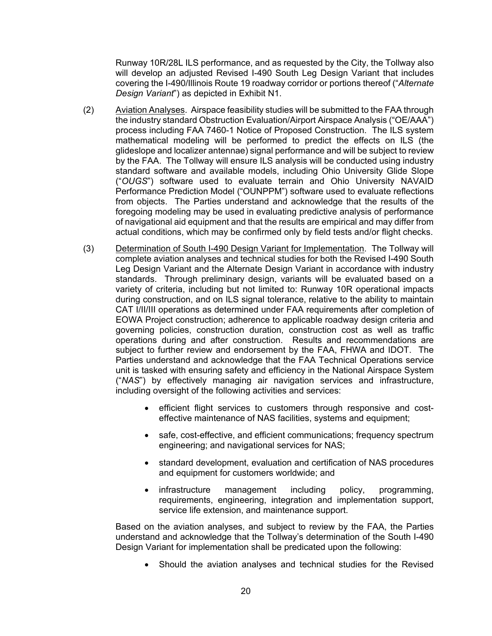Runway 10R/28L ILS performance, and as requested by the City, the Tollway also will develop an adjusted Revised I-490 South Leg Design Variant that includes covering the I-490/Illinois Route 19 roadway corridor or portions thereof ("*Alternate Design Variant*") as depicted in Exhibit N1.

- (2) Aviation Analyses. Airspace feasibility studies will be submitted to the FAA through the industry standard Obstruction Evaluation/Airport Airspace Analysis ("OE/AAA") process including FAA 7460-1 Notice of Proposed Construction. The ILS system mathematical modeling will be performed to predict the effects on ILS (the glideslope and localizer antennae) signal performance and will be subject to review by the FAA. The Tollway will ensure ILS analysis will be conducted using industry standard software and available models, including Ohio University Glide Slope ("*OUGS*") software used to evaluate terrain and Ohio University NAVAID Performance Prediction Model ("OUNPPM") software used to evaluate reflections from objects. The Parties understand and acknowledge that the results of the foregoing modeling may be used in evaluating predictive analysis of performance of navigational aid equipment and that the results are empirical and may differ from actual conditions, which may be confirmed only by field tests and/or flight checks.
- (3) Determination of South I-490 Design Variant for Implementation. The Tollway will complete aviation analyses and technical studies for both the Revised I-490 South Leg Design Variant and the Alternate Design Variant in accordance with industry standards. Through preliminary design, variants will be evaluated based on a variety of criteria, including but not limited to: Runway 10R operational impacts during construction, and on ILS signal tolerance, relative to the ability to maintain CAT I/II/III operations as determined under FAA requirements after completion of EOWA Project construction; adherence to applicable roadway design criteria and governing policies, construction duration, construction cost as well as traffic operations during and after construction. Results and recommendations are subject to further review and endorsement by the FAA, FHWA and IDOT. The Parties understand and acknowledge that the FAA Technical Operations service unit is tasked with ensuring safety and efficiency in the National Airspace System ("*NAS*") by effectively managing air navigation services and infrastructure, including oversight of the following activities and services:
	- efficient flight services to customers through responsive and costeffective maintenance of NAS facilities, systems and equipment;
	- safe, cost-effective, and efficient communications; frequency spectrum engineering; and navigational services for NAS;
	- standard development, evaluation and certification of NAS procedures and equipment for customers worldwide; and
	- infrastructure management including policy, programming, requirements, engineering, integration and implementation support, service life extension, and maintenance support.

Based on the aviation analyses, and subject to review by the FAA, the Parties understand and acknowledge that the Tollway's determination of the South I-490 Design Variant for implementation shall be predicated upon the following:

• Should the aviation analyses and technical studies for the Revised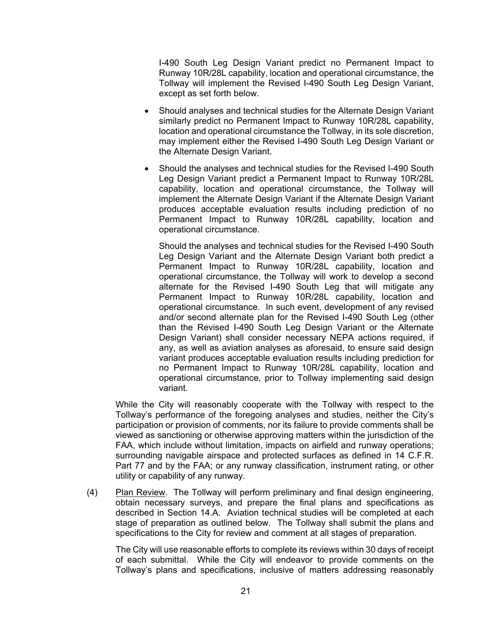I-490 South Leg Design Variant predict no Permanent Impact to Runway 10R/28L capability, location and operational circumstance, the Tollway will implement the Revised I-490 South Leg Design Variant, except as set forth below.

- Should analyses and technical studies for the Alternate Design Variant similarly predict no Permanent Impact to Runway 10R/28L capability, location and operational circumstance the Tollway, in its sole discretion, may implement either the Revised I-490 South Leg Design Variant or the Alternate Design Variant.
- Should the analyses and technical studies for the Revised I-490 South Leg Design Variant predict a Permanent Impact to Runway 10R/28L capability, location and operational circumstance, the Tollway will implement the Alternate Design Variant if the Alternate Design Variant produces acceptable evaluation results including prediction of no Permanent Impact to Runway 10R/28L capability, location and operational circumstance.

Should the analyses and technical studies for the Revised I-490 South Leg Design Variant and the Alternate Design Variant both predict a Permanent Impact to Runway 10R/28L capability, location and operational circumstance, the Tollway will work to develop a second alternate for the Revised I-490 South Leg that will mitigate any Permanent Impact to Runway 10R/28L capability, location and operational circumstance. In such event, development of any revised and/or second alternate plan for the Revised I-490 South Leg (other than the Revised I-490 South Leg Design Variant or the Alternate Design Variant) shall consider necessary NEPA actions required, if any, as well as aviation analyses as aforesaid, to ensure said design variant produces acceptable evaluation results including prediction for no Permanent Impact to Runway 10R/28L capability, location and operational circumstance, prior to Tollway implementing said design variant.

While the City will reasonably cooperate with the Tollway with respect to the Tollway's performance of the foregoing analyses and studies, neither the City's participation or provision of comments, nor its failure to provide comments shall be viewed as sanctioning or otherwise approving matters within the jurisdiction of the FAA, which include without limitation, impacts on airfield and runway operations; surrounding navigable airspace and protected surfaces as defined in 14 C.F.R. Part 77 and by the FAA; or any runway classification, instrument rating, or other utility or capability of any runway.

(4) Plan Review. The Tollway will perform preliminary and final design engineering, obtain necessary surveys, and prepare the final plans and specifications as described in Section 14.A. Aviation technical studies will be completed at each stage of preparation as outlined below. The Tollway shall submit the plans and specifications to the City for review and comment at all stages of preparation.

The City will use reasonable efforts to complete its reviews within 30 days of receipt of each submittal. While the City will endeavor to provide comments on the Tollway's plans and specifications, inclusive of matters addressing reasonably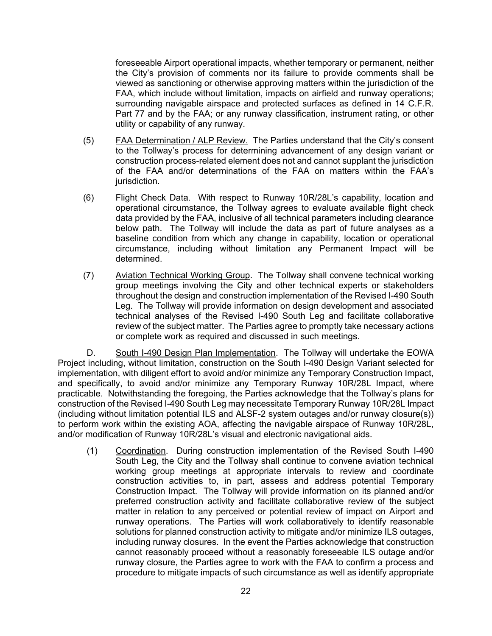foreseeable Airport operational impacts, whether temporary or permanent, neither the City's provision of comments nor its failure to provide comments shall be viewed as sanctioning or otherwise approving matters within the jurisdiction of the FAA, which include without limitation, impacts on airfield and runway operations; surrounding navigable airspace and protected surfaces as defined in 14 C.F.R. Part 77 and by the FAA; or any runway classification, instrument rating, or other utility or capability of any runway.

- (5) FAA Determination / ALP Review. The Parties understand that the City's consent to the Tollway's process for determining advancement of any design variant or construction process-related element does not and cannot supplant the jurisdiction of the FAA and/or determinations of the FAA on matters within the FAA's jurisdiction.
- (6) Flight Check Data. With respect to Runway 10R/28L's capability, location and operational circumstance, the Tollway agrees to evaluate available flight check data provided by the FAA, inclusive of all technical parameters including clearance below path. The Tollway will include the data as part of future analyses as a baseline condition from which any change in capability, location or operational circumstance, including without limitation any Permanent Impact will be determined.
- (7) Aviation Technical Working Group. The Tollway shall convene technical working group meetings involving the City and other technical experts or stakeholders throughout the design and construction implementation of the Revised I-490 South Leg. The Tollway will provide information on design development and associated technical analyses of the Revised I-490 South Leg and facilitate collaborative review of the subject matter. The Parties agree to promptly take necessary actions or complete work as required and discussed in such meetings.

D. South I-490 Design Plan Implementation. The Tollway will undertake the EOWA Project including, without limitation, construction on the South I-490 Design Variant selected for implementation, with diligent effort to avoid and/or minimize any Temporary Construction Impact, and specifically, to avoid and/or minimize any Temporary Runway 10R/28L Impact, where practicable. Notwithstanding the foregoing, the Parties acknowledge that the Tollway's plans for construction of the Revised I-490 South Leg may necessitate Temporary Runway 10R/28L Impact (including without limitation potential ILS and ALSF-2 system outages and/or runway closure(s)) to perform work within the existing AOA, affecting the navigable airspace of Runway 10R/28L, and/or modification of Runway 10R/28L's visual and electronic navigational aids.

(1) Coordination. During construction implementation of the Revised South I-490 South Leg, the City and the Tollway shall continue to convene aviation technical working group meetings at appropriate intervals to review and coordinate construction activities to, in part, assess and address potential Temporary Construction Impact. The Tollway will provide information on its planned and/or preferred construction activity and facilitate collaborative review of the subject matter in relation to any perceived or potential review of impact on Airport and runway operations. The Parties will work collaboratively to identify reasonable solutions for planned construction activity to mitigate and/or minimize ILS outages, including runway closures. In the event the Parties acknowledge that construction cannot reasonably proceed without a reasonably foreseeable ILS outage and/or runway closure, the Parties agree to work with the FAA to confirm a process and procedure to mitigate impacts of such circumstance as well as identify appropriate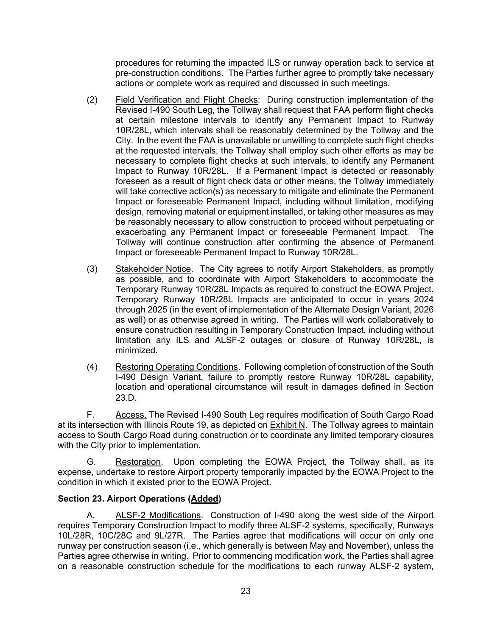procedures for returning the impacted ILS or runway operation back to service at pre-construction conditions. The Parties further agree to promptly take necessary actions or complete work as required and discussed in such meetings.

- (2) Field Verification and Flight Checks: During construction implementation of the Revised I-490 South Leg, the Tollway shall request that FAA perform flight checks at certain milestone intervals to identify any Permanent Impact to Runway 10R/28L, which intervals shall be reasonably determined by the Tollway and the City. In the event the FAA is unavailable or unwilling to complete such flight checks at the requested intervals, the Tollway shall employ such other efforts as may be necessary to complete flight checks at such intervals, to identify any Permanent Impact to Runway 10R/28L. If a Permanent Impact is detected or reasonably foreseen as a result of flight check data or other means, the Tollway immediately will take corrective action(s) as necessary to mitigate and eliminate the Permanent Impact or foreseeable Permanent Impact, including without limitation, modifying design, removing material or equipment installed, or taking other measures as may be reasonably necessary to allow construction to proceed without perpetuating or exacerbating any Permanent Impact or foreseeable Permanent Impact. The Tollway will continue construction after confirming the absence of Permanent Impact or foreseeable Permanent Impact to Runway 10R/28L.
- (3) Stakeholder Notice. The City agrees to notify Airport Stakeholders, as promptly as possible, and to coordinate with Airport Stakeholders to accommodate the Temporary Runway 10R/28L Impacts as required to construct the EOWA Project. Temporary Runway 10R/28L Impacts are anticipated to occur in years 2024 through 2025 (in the event of implementation of the Alternate Design Variant, 2026 as well) or as otherwise agreed in writing. The Parties will work collaboratively to ensure construction resulting in Temporary Construction Impact, including without limitation any ILS and ALSF-2 outages or closure of Runway 10R/28L, is minimized.
- (4) Restoring Operating Conditions. Following completion of construction of the South I-490 Design Variant, failure to promptly restore Runway 10R/28L capability, location and operational circumstance will result in damages defined in Section 23.D.

F. Access. The Revised I-490 South Leg requires modification of South Cargo Road at its intersection with Illinois Route 19, as depicted on Exhibit N. The Tollway agrees to maintain access to South Cargo Road during construction or to coordinate any limited temporary closures with the City prior to implementation.

G. Restoration. Upon completing the EOWA Project, the Tollway shall, as its expense, undertake to restore Airport property temporarily impacted by the EOWA Project to the condition in which it existed prior to the EOWA Project.

# **Section 23. Airport Operations (Added)**

A. ALSF-2 Modifications. Construction of I-490 along the west side of the Airport requires Temporary Construction Impact to modify three ALSF-2 systems, specifically, Runways 10L/28R, 10C/28C and 9L/27R. The Parties agree that modifications will occur on only one runway per construction season (i.e., which generally is between May and November), unless the Parties agree otherwise in writing. Prior to commencing modification work, the Parties shall agree on a reasonable construction schedule for the modifications to each runway ALSF-2 system,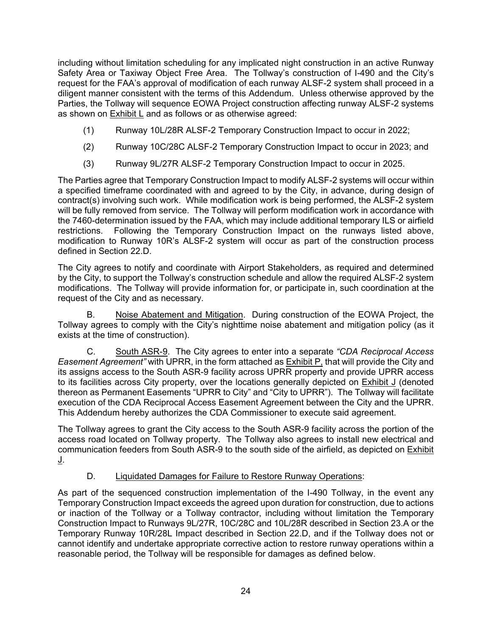including without limitation scheduling for any implicated night construction in an active Runway Safety Area or Taxiway Object Free Area. The Tollway's construction of I-490 and the City's request for the FAA's approval of modification of each runway ALSF-2 system shall proceed in a diligent manner consistent with the terms of this Addendum. Unless otherwise approved by the Parties, the Tollway will sequence EOWA Project construction affecting runway ALSF-2 systems as shown on Exhibit L and as follows or as otherwise agreed:

- (1) Runway 10L/28R ALSF-2 Temporary Construction Impact to occur in 2022;
- (2) Runway 10C/28C ALSF-2 Temporary Construction Impact to occur in 2023; and
- (3) Runway 9L/27R ALSF-2 Temporary Construction Impact to occur in 2025.

The Parties agree that Temporary Construction Impact to modify ALSF-2 systems will occur within a specified timeframe coordinated with and agreed to by the City, in advance, during design of contract(s) involving such work. While modification work is being performed, the ALSF-2 system will be fully removed from service. The Tollway will perform modification work in accordance with the 7460-determination issued by the FAA, which may include additional temporary ILS or airfield restrictions. Following the Temporary Construction Impact on the runways listed above, modification to Runway 10R's ALSF-2 system will occur as part of the construction process defined in Section 22.D.

The City agrees to notify and coordinate with Airport Stakeholders, as required and determined by the City, to support the Tollway's construction schedule and allow the required ALSF-2 system modifications. The Tollway will provide information for, or participate in, such coordination at the request of the City and as necessary.

B. Noise Abatement and Mitigation. During construction of the EOWA Project, the Tollway agrees to comply with the City's nighttime noise abatement and mitigation policy (as it exists at the time of construction).

C. South ASR-9. The City agrees to enter into a separate *"CDA Reciprocal Access Easement Agreement"* with UPRR, in the form attached as Exhibit P, that will provide the City and its assigns access to the South ASR-9 facility across UPRR property and provide UPRR access to its facilities across City property, over the locations generally depicted on Exhibit J (denoted thereon as Permanent Easements "UPRR to City" and "City to UPRR"). The Tollway will facilitate execution of the CDA Reciprocal Access Easement Agreement between the City and the UPRR. This Addendum hereby authorizes the CDA Commissioner to execute said agreement.

The Tollway agrees to grant the City access to the South ASR-9 facility across the portion of the access road located on Tollway property. The Tollway also agrees to install new electrical and communication feeders from South ASR-9 to the south side of the airfield, as depicted on Exhibit <u>J</u>.

# D. Liquidated Damages for Failure to Restore Runway Operations:

As part of the sequenced construction implementation of the I-490 Tollway, in the event any Temporary Construction Impact exceeds the agreed upon duration for construction, due to actions or inaction of the Tollway or a Tollway contractor, including without limitation the Temporary Construction Impact to Runways 9L/27R, 10C/28C and 10L/28R described in Section 23.A or the Temporary Runway 10R/28L Impact described in Section 22.D, and if the Tollway does not or cannot identify and undertake appropriate corrective action to restore runway operations within a reasonable period, the Tollway will be responsible for damages as defined below.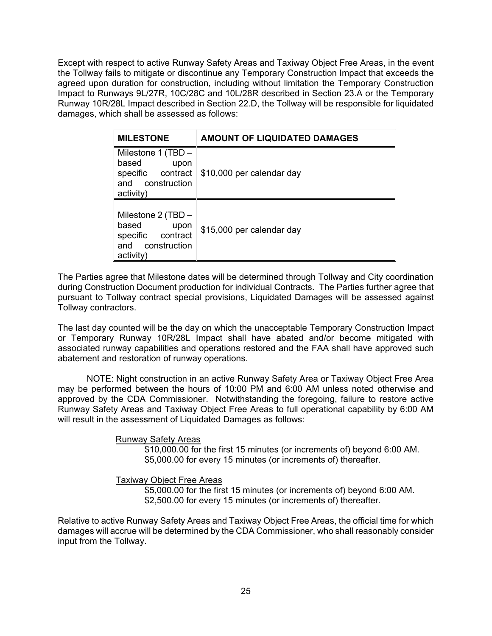Except with respect to active Runway Safety Areas and Taxiway Object Free Areas, in the event the Tollway fails to mitigate or discontinue any Temporary Construction Impact that exceeds the agreed upon duration for construction, including without limitation the Temporary Construction Impact to Runways 9L/27R, 10C/28C and 10L/28R described in Section 23.A or the Temporary Runway 10R/28L Impact described in Section 22.D, the Tollway will be responsible for liquidated damages, which shall be assessed as follows:

| <b>MILESTONE</b>                                                                                | <b>AMOUNT OF LIQUIDATED DAMAGES</b> |
|-------------------------------------------------------------------------------------------------|-------------------------------------|
| Milestone 1 (TBD -<br>based<br>upon<br>specific<br>contract<br>construction<br>and<br>activity) | \$10,000 per calendar day           |
| Milestone 2 (TBD -<br>based<br>upon<br>specific<br>contract<br>and construction<br>activity     | \$15,000 per calendar day           |

The Parties agree that Milestone dates will be determined through Tollway and City coordination during Construction Document production for individual Contracts. The Parties further agree that pursuant to Tollway contract special provisions, Liquidated Damages will be assessed against Tollway contractors.

The last day counted will be the day on which the unacceptable Temporary Construction Impact or Temporary Runway 10R/28L Impact shall have abated and/or become mitigated with associated runway capabilities and operations restored and the FAA shall have approved such abatement and restoration of runway operations.

NOTE: Night construction in an active Runway Safety Area or Taxiway Object Free Area may be performed between the hours of 10:00 PM and 6:00 AM unless noted otherwise and approved by the CDA Commissioner. Notwithstanding the foregoing, failure to restore active Runway Safety Areas and Taxiway Object Free Areas to full operational capability by 6:00 AM will result in the assessment of Liquidated Damages as follows:

## Runway Safety Areas

\$10,000.00 for the first 15 minutes (or increments of) beyond 6:00 AM. \$5,000.00 for every 15 minutes (or increments of) thereafter.

#### Taxiway Object Free Areas

\$5,000.00 for the first 15 minutes (or increments of) beyond 6:00 AM. \$2,500.00 for every 15 minutes (or increments of) thereafter.

Relative to active Runway Safety Areas and Taxiway Object Free Areas, the official time for which damages will accrue will be determined by the CDA Commissioner, who shall reasonably consider input from the Tollway.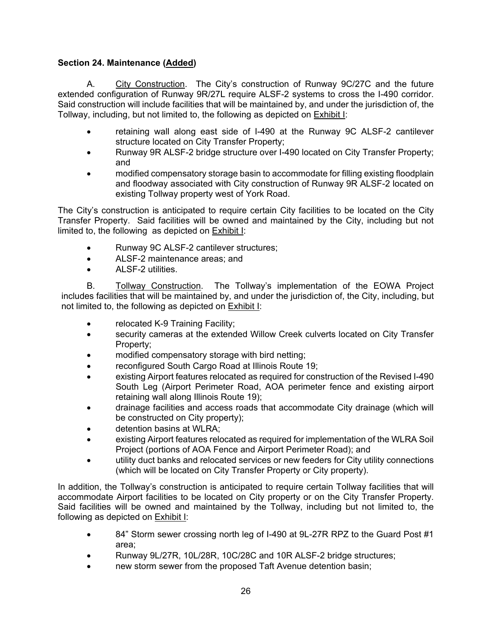# **Section 24. Maintenance (Added)**

A. City Construction. The City's construction of Runway 9C/27C and the future extended configuration of Runway 9R/27L require ALSF-2 systems to cross the I-490 corridor. Said construction will include facilities that will be maintained by, and under the jurisdiction of, the Tollway, including, but not limited to, the following as depicted on Exhibit I:

- retaining wall along east side of I-490 at the Runway 9C ALSF-2 cantilever structure located on City Transfer Property;
- Runway 9R ALSF-2 bridge structure over I-490 located on City Transfer Property; and
- modified compensatory storage basin to accommodate for filling existing floodplain and floodway associated with City construction of Runway 9R ALSF-2 located on existing Tollway property west of York Road.

The City's construction is anticipated to require certain City facilities to be located on the City Transfer Property. Said facilities will be owned and maintained by the City, including but not limited to, the following as depicted on Exhibit I:

- Runway 9C ALSF-2 cantilever structures;
- ALSF-2 maintenance areas; and
- ALSE-2 utilities

B. Tollway Construction. The Tollway's implementation of the EOWA Project includes facilities that will be maintained by, and under the jurisdiction of, the City, including, but not limited to, the following as depicted on Exhibit I:

- relocated K-9 Training Facility;
- security cameras at the extended Willow Creek culverts located on City Transfer Property;
- modified compensatory storage with bird netting;
- reconfigured South Cargo Road at Illinois Route 19;
- existing Airport features relocated as required for construction of the Revised I-490 South Leg (Airport Perimeter Road, AOA perimeter fence and existing airport retaining wall along Illinois Route 19);
- drainage facilities and access roads that accommodate City drainage (which will be constructed on City property);
- detention basins at WLRA;
- existing Airport features relocated as required for implementation of the WLRA Soil Project (portions of AOA Fence and Airport Perimeter Road); and
- utility duct banks and relocated services or new feeders for City utility connections (which will be located on City Transfer Property or City property).

In addition, the Tollway's construction is anticipated to require certain Tollway facilities that will accommodate Airport facilities to be located on City property or on the City Transfer Property. Said facilities will be owned and maintained by the Tollway, including but not limited to, the following as depicted on Exhibit I:

- 84" Storm sewer crossing north leg of I-490 at 9L-27R RPZ to the Guard Post #1 area;
- Runway 9L/27R, 10L/28R, 10C/28C and 10R ALSF-2 bridge structures;
- new storm sewer from the proposed Taft Avenue detention basin: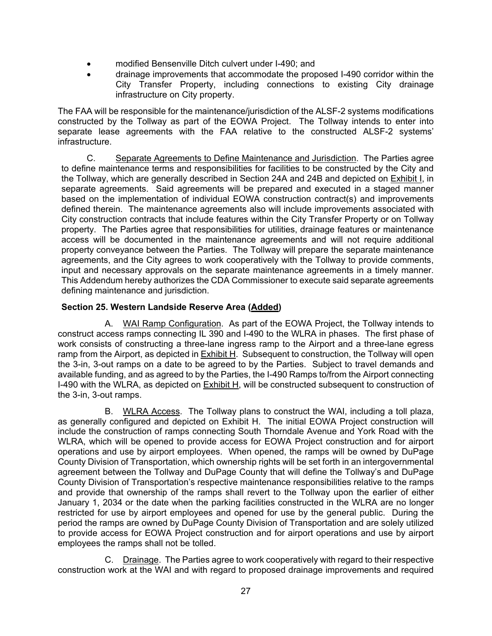- modified Bensenville Ditch culvert under I-490; and
- drainage improvements that accommodate the proposed I-490 corridor within the City Transfer Property, including connections to existing City drainage infrastructure on City property.

The FAA will be responsible for the maintenance/jurisdiction of the ALSF-2 systems modifications constructed by the Tollway as part of the EOWA Project. The Tollway intends to enter into separate lease agreements with the FAA relative to the constructed ALSF-2 systems' infrastructure.

C. Separate Agreements to Define Maintenance and Jurisdiction. The Parties agree to define maintenance terms and responsibilities for facilities to be constructed by the City and the Tollway, which are generally described in Section 24A and 24B and depicted on Exhibit I, in separate agreements. Said agreements will be prepared and executed in a staged manner based on the implementation of individual EOWA construction contract(s) and improvements defined therein. The maintenance agreements also will include improvements associated with City construction contracts that include features within the City Transfer Property or on Tollway property. The Parties agree that responsibilities for utilities, drainage features or maintenance access will be documented in the maintenance agreements and will not require additional property conveyance between the Parties. The Tollway will prepare the separate maintenance agreements, and the City agrees to work cooperatively with the Tollway to provide comments, input and necessary approvals on the separate maintenance agreements in a timely manner. This Addendum hereby authorizes the CDA Commissioner to execute said separate agreements defining maintenance and jurisdiction.

## **Section 25. Western Landside Reserve Area (Added)**

A. WAI Ramp Configuration. As part of the EOWA Project, the Tollway intends to construct access ramps connecting IL 390 and I-490 to the WLRA in phases. The first phase of work consists of constructing a three-lane ingress ramp to the Airport and a three-lane egress ramp from the Airport, as depicted in Exhibit H. Subsequent to construction, the Tollway will open the 3-in, 3-out ramps on a date to be agreed to by the Parties. Subject to travel demands and available funding, and as agreed to by the Parties, the I-490 Ramps to/from the Airport connecting I-490 with the WLRA, as depicted on Exhibit H, will be constructed subsequent to construction of the 3-in, 3-out ramps.

B. WLRA Access. The Tollway plans to construct the WAI, including a toll plaza, as generally configured and depicted on Exhibit H. The initial EOWA Project construction will include the construction of ramps connecting South Thorndale Avenue and York Road with the WLRA, which will be opened to provide access for EOWA Project construction and for airport operations and use by airport employees. When opened, the ramps will be owned by DuPage County Division of Transportation, which ownership rights will be set forth in an intergovernmental agreement between the Tollway and DuPage County that will define the Tollway's and DuPage County Division of Transportation's respective maintenance responsibilities relative to the ramps and provide that ownership of the ramps shall revert to the Tollway upon the earlier of either January 1, 2034 or the date when the parking facilities constructed in the WLRA are no longer restricted for use by airport employees and opened for use by the general public. During the period the ramps are owned by DuPage County Division of Transportation and are solely utilized to provide access for EOWA Project construction and for airport operations and use by airport employees the ramps shall not be tolled.

C. Drainage. The Parties agree to work cooperatively with regard to their respective construction work at the WAI and with regard to proposed drainage improvements and required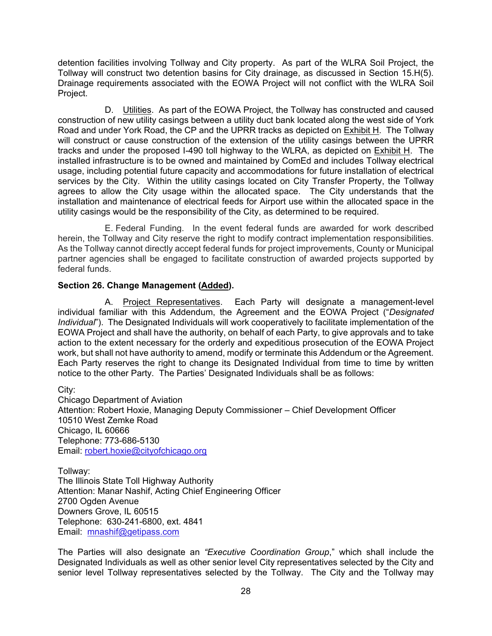detention facilities involving Tollway and City property. As part of the WLRA Soil Project, the Tollway will construct two detention basins for City drainage, as discussed in Section 15.H(5). Drainage requirements associated with the EOWA Project will not conflict with the WLRA Soil Project.

D. Utilities. As part of the EOWA Project, the Tollway has constructed and caused construction of new utility casings between a utility duct bank located along the west side of York Road and under York Road, the CP and the UPRR tracks as depicted on Exhibit H. The Tollway will construct or cause construction of the extension of the utility casings between the UPRR tracks and under the proposed I-490 toll highway to the WLRA, as depicted on Exhibit H. The installed infrastructure is to be owned and maintained by ComEd and includes Tollway electrical usage, including potential future capacity and accommodations for future installation of electrical services by the City. Within the utility casings located on City Transfer Property, the Tollway agrees to allow the City usage within the allocated space. The City understands that the installation and maintenance of electrical feeds for Airport use within the allocated space in the utility casings would be the responsibility of the City, as determined to be required.

E. Federal Funding. In the event federal funds are awarded for work described herein, the Tollway and City reserve the right to modify contract implementation responsibilities. As the Tollway cannot directly accept federal funds for project improvements, County or Municipal partner agencies shall be engaged to facilitate construction of awarded projects supported by federal funds.

## **Section 26. Change Management (Added).**

A. Project Representatives. Each Party will designate a management-level individual familiar with this Addendum, the Agreement and the EOWA Project ("*Designated Individual*"). The Designated Individuals will work cooperatively to facilitate implementation of the EOWA Project and shall have the authority, on behalf of each Party, to give approvals and to take action to the extent necessary for the orderly and expeditious prosecution of the EOWA Project work, but shall not have authority to amend, modify or terminate this Addendum or the Agreement. Each Party reserves the right to change its Designated Individual from time to time by written notice to the other Party. The Parties' Designated Individuals shall be as follows:

City: Chicago Department of Aviation Attention: Robert Hoxie, Managing Deputy Commissioner – Chief Development Officer 10510 West Zemke Road Chicago, IL 60666 Telephone: 773-686-5130 Email: [robert.hoxie@cityofchicago.org](mailto:robert.hoxie@cityofchicago.org)

Tollway: The Illinois State Toll Highway Authority Attention: Manar Nashif, Acting Chief Engineering Officer 2700 Ogden Avenue Downers Grove, IL 60515 Telephone: 630-241-6800, ext. 4841 Email: [mnashif@getipass.com](mailto:mnashif@getipass.com)

The Parties will also designate an *"Executive Coordination Group*," which shall include the Designated Individuals as well as other senior level City representatives selected by the City and senior level Tollway representatives selected by the Tollway. The City and the Tollway may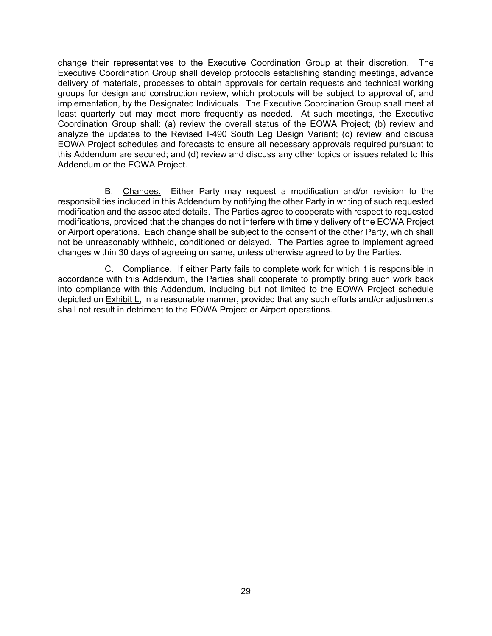change their representatives to the Executive Coordination Group at their discretion. The Executive Coordination Group shall develop protocols establishing standing meetings, advance delivery of materials, processes to obtain approvals for certain requests and technical working groups for design and construction review, which protocols will be subject to approval of, and implementation, by the Designated Individuals. The Executive Coordination Group shall meet at least quarterly but may meet more frequently as needed. At such meetings, the Executive Coordination Group shall: (a) review the overall status of the EOWA Project; (b) review and analyze the updates to the Revised I-490 South Leg Design Variant; (c) review and discuss EOWA Project schedules and forecasts to ensure all necessary approvals required pursuant to this Addendum are secured; and (d) review and discuss any other topics or issues related to this Addendum or the EOWA Project.

B. Changes. Either Party may request a modification and/or revision to the responsibilities included in this Addendum by notifying the other Party in writing of such requested modification and the associated details. The Parties agree to cooperate with respect to requested modifications, provided that the changes do not interfere with timely delivery of the EOWA Project or Airport operations. Each change shall be subject to the consent of the other Party, which shall not be unreasonably withheld, conditioned or delayed. The Parties agree to implement agreed changes within 30 days of agreeing on same, unless otherwise agreed to by the Parties.

C. Compliance. If either Party fails to complete work for which it is responsible in accordance with this Addendum, the Parties shall cooperate to promptly bring such work back into compliance with this Addendum, including but not limited to the EOWA Project schedule depicted on **Exhibit L**, in a reasonable manner, provided that any such efforts and/or adjustments shall not result in detriment to the EOWA Project or Airport operations.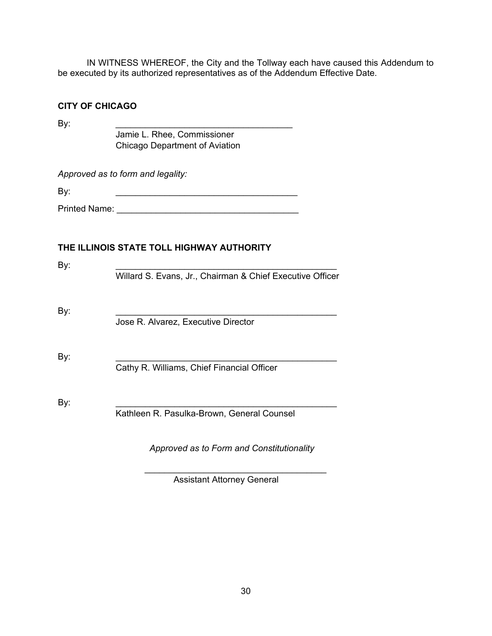IN WITNESS WHEREOF, the City and the Tollway each have caused this Addendum to be executed by its authorized representatives as of the Addendum Effective Date.

## **CITY OF CHICAGO**

By: \_\_\_\_\_\_\_\_\_\_\_\_\_\_\_\_\_\_\_\_\_\_\_\_\_\_\_\_\_\_\_\_\_\_\_\_ Jamie L. Rhee, Commissioner Chicago Department of Aviation

*Approved as to form and legality:*

 $\mathsf{By:}$ 

Printed Name:

# **THE ILLINOIS STATE TOLL HIGHWAY AUTHORITY**

| By: | Willard S. Evans, Jr., Chairman & Chief Executive Officer |
|-----|-----------------------------------------------------------|
| By: | Jose R. Alvarez, Executive Director                       |
| By: | Cathy R. Williams, Chief Financial Officer                |
| By: | Kathleen R. Pasulka-Brown, General Counsel                |
|     |                                                           |

 $\mathcal{L}_\text{max}$  , where  $\mathcal{L}_\text{max}$  and  $\mathcal{L}_\text{max}$  and  $\mathcal{L}_\text{max}$ 

 *Approved as to Form and Constitutionality*

Assistant Attorney General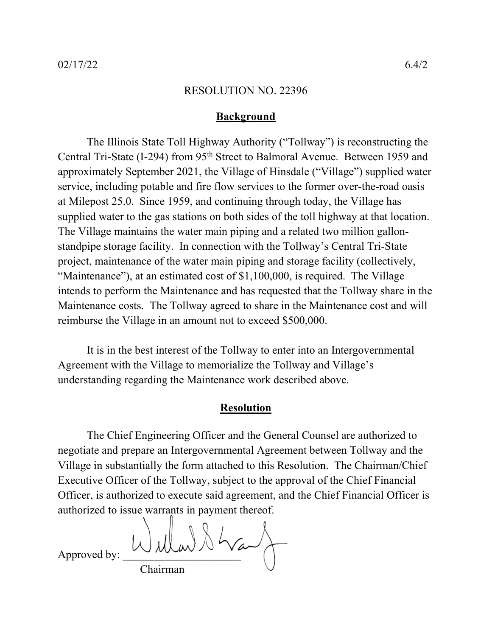## **Background**

The Illinois State Toll Highway Authority ("Tollway") is reconstructing the Central Tri-State (I-294) from 95<sup>th</sup> Street to Balmoral Avenue. Between 1959 and approximately September 2021, the Village of Hinsdale ("Village") supplied water service, including potable and fire flow services to the former over-the-road oasis at Milepost 25.0. Since 1959, and continuing through today, the Village has supplied water to the gas stations on both sides of the toll highway at that location. The Village maintains the water main piping and a related two million gallonstandpipe storage facility. In connection with the Tollway's Central Tri-State project, maintenance of the water main piping and storage facility (collectively, "Maintenance"), at an estimated cost of \$1,100,000, is required. The Village intends to perform the Maintenance and has requested that the Tollway share in the Maintenance costs. The Tollway agreed to share in the Maintenance cost and will reimburse the Village in an amount not to exceed \$500,000.

It is in the best interest of the Tollway to enter into an Intergovernmental Agreement with the Village to memorialize the Tollway and Village's understanding regarding the Maintenance work described above.

# **Resolution**

The Chief Engineering Officer and the General Counsel are authorized to negotiate and prepare an Intergovernmental Agreement between Tollway and the Village in substantially the form attached to this Resolution. The Chairman/Chief Executive Officer of the Tollway, subject to the approval of the Chief Financial Officer, is authorized to execute said agreement, and the Chief Financial Officer is authorized to issue warrants in payment thereof.

Approved by:  $Wd\mu w$ Chairman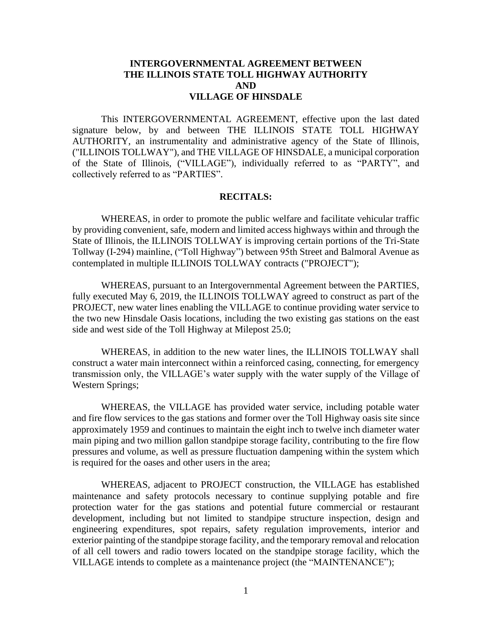## **INTERGOVERNMENTAL AGREEMENT BETWEEN THE ILLINOIS STATE TOLL HIGHWAY AUTHORITY AND VILLAGE OF HINSDALE**

This INTERGOVERNMENTAL AGREEMENT, effective upon the last dated signature below, by and between THE ILLINOIS STATE TOLL HIGHWAY AUTHORITY, an instrumentality and administrative agency of the State of Illinois, ("ILLINOIS TOLLWAY"), and THE VILLAGE OF HINSDALE, a municipal corporation of the State of Illinois, ("VILLAGE"), individually referred to as "PARTY", and collectively referred to as "PARTIES".

#### **RECITALS:**

WHEREAS, in order to promote the public welfare and facilitate vehicular traffic by providing convenient, safe, modern and limited access highways within and through the State of Illinois, the ILLINOIS TOLLWAY is improving certain portions of the Tri-State Tollway (I-294) mainline, ("Toll Highway") between 95th Street and Balmoral Avenue as contemplated in multiple ILLINOIS TOLLWAY contracts ("PROJECT");

WHEREAS, pursuant to an Intergovernmental Agreement between the PARTIES, fully executed May 6, 2019, the ILLINOIS TOLLWAY agreed to construct as part of the PROJECT, new water lines enabling the VILLAGE to continue providing water service to the two new Hinsdale Oasis locations, including the two existing gas stations on the east side and west side of the Toll Highway at Milepost 25.0;

WHEREAS, in addition to the new water lines, the ILLINOIS TOLLWAY shall construct a water main interconnect within a reinforced casing, connecting, for emergency transmission only, the VILLAGE's water supply with the water supply of the Village of Western Springs;

WHEREAS, the VILLAGE has provided water service, including potable water and fire flow services to the gas stations and former over the Toll Highway oasis site since approximately 1959 and continues to maintain the eight inch to twelve inch diameter water main piping and two million gallon standpipe storage facility, contributing to the fire flow pressures and volume, as well as pressure fluctuation dampening within the system which is required for the oases and other users in the area;

WHEREAS, adjacent to PROJECT construction, the VILLAGE has established maintenance and safety protocols necessary to continue supplying potable and fire protection water for the gas stations and potential future commercial or restaurant development, including but not limited to standpipe structure inspection, design and engineering expenditures, spot repairs, safety regulation improvements, interior and exterior painting of the standpipe storage facility, and the temporary removal and relocation of all cell towers and radio towers located on the standpipe storage facility, which the VILLAGE intends to complete as a maintenance project (the "MAINTENANCE");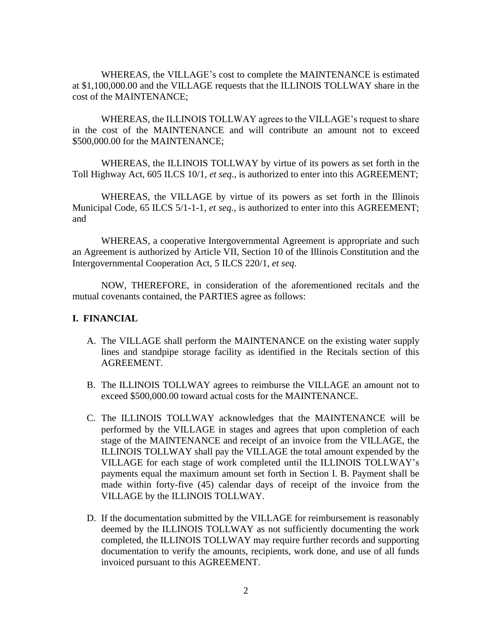WHEREAS, the VILLAGE's cost to complete the MAINTENANCE is estimated at \$1,100,000.00 and the VILLAGE requests that the ILLINOIS TOLLWAY share in the cost of the MAINTENANCE;

WHEREAS, the ILLINOIS TOLLWAY agrees to the VILLAGE's request to share in the cost of the MAINTENANCE and will contribute an amount not to exceed \$500,000.00 for the MAINTENANCE;

WHEREAS, the ILLINOIS TOLLWAY by virtue of its powers as set forth in the Toll Highway Act, 605 ILCS 10/1, *et seq.,* is authorized to enter into this AGREEMENT;

WHEREAS, the VILLAGE by virtue of its powers as set forth in the Illinois Municipal Code, 65 ILCS 5/1-1-1, *et seq.,* is authorized to enter into this AGREEMENT; and

WHEREAS, a cooperative Intergovernmental Agreement is appropriate and such an Agreement is authorized by Article VII, Section 10 of the Illinois Constitution and the Intergovernmental Cooperation Act, 5 ILCS 220/1, *et seq*.

NOW, THEREFORE, in consideration of the aforementioned recitals and the mutual covenants contained, the PARTIES agree as follows:

#### **I. FINANCIAL**

- A. The VILLAGE shall perform the MAINTENANCE on the existing water supply lines and standpipe storage facility as identified in the Recitals section of this AGREEMENT.
- B. The ILLINOIS TOLLWAY agrees to reimburse the VILLAGE an amount not to exceed \$500,000.00 toward actual costs for the MAINTENANCE.
- C. The ILLINOIS TOLLWAY acknowledges that the MAINTENANCE will be performed by the VILLAGE in stages and agrees that upon completion of each stage of the MAINTENANCE and receipt of an invoice from the VILLAGE, the ILLINOIS TOLLWAY shall pay the VILLAGE the total amount expended by the VILLAGE for each stage of work completed until the ILLINOIS TOLLWAY's payments equal the maximum amount set forth in Section I. B. Payment shall be made within forty-five (45) calendar days of receipt of the invoice from the VILLAGE by the ILLINOIS TOLLWAY.
- D. If the documentation submitted by the VILLAGE for reimbursement is reasonably deemed by the ILLINOIS TOLLWAY as not sufficiently documenting the work completed, the ILLINOIS TOLLWAY may require further records and supporting documentation to verify the amounts, recipients, work done, and use of all funds invoiced pursuant to this AGREEMENT.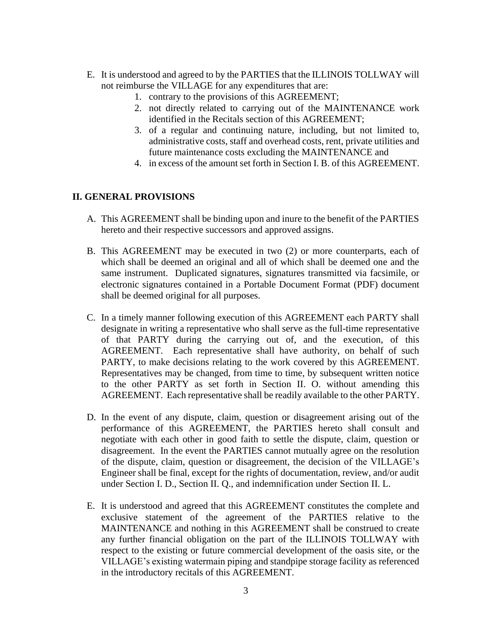- E. It is understood and agreed to by the PARTIES that the ILLINOIS TOLLWAY will not reimburse the VILLAGE for any expenditures that are:
	- 1. contrary to the provisions of this AGREEMENT;
	- 2. not directly related to carrying out of the MAINTENANCE work identified in the Recitals section of this AGREEMENT;
	- 3. of a regular and continuing nature, including, but not limited to, administrative costs, staff and overhead costs, rent, private utilities and future maintenance costs excluding the MAINTENANCE and
	- 4. in excess of the amount set forth in Section I. B. of this AGREEMENT.

## **II. GENERAL PROVISIONS**

- A. This AGREEMENT shall be binding upon and inure to the benefit of the PARTIES hereto and their respective successors and approved assigns.
- B. This AGREEMENT may be executed in two (2) or more counterparts, each of which shall be deemed an original and all of which shall be deemed one and the same instrument. Duplicated signatures, signatures transmitted via facsimile, or electronic signatures contained in a Portable Document Format (PDF) document shall be deemed original for all purposes.
- C. In a timely manner following execution of this AGREEMENT each PARTY shall designate in writing a representative who shall serve as the full-time representative of that PARTY during the carrying out of, and the execution, of this AGREEMENT. Each representative shall have authority, on behalf of such PARTY, to make decisions relating to the work covered by this AGREEMENT. Representatives may be changed, from time to time, by subsequent written notice to the other PARTY as set forth in Section II. O. without amending this AGREEMENT. Each representative shall be readily available to the other PARTY.
- D. In the event of any dispute, claim, question or disagreement arising out of the performance of this AGREEMENT, the PARTIES hereto shall consult and negotiate with each other in good faith to settle the dispute, claim, question or disagreement. In the event the PARTIES cannot mutually agree on the resolution of the dispute, claim, question or disagreement, the decision of the VILLAGE's Engineer shall be final, except for the rights of documentation, review, and/or audit under Section I. D., Section II. Q., and indemnification under Section II. L.
- E. It is understood and agreed that this AGREEMENT constitutes the complete and exclusive statement of the agreement of the PARTIES relative to the MAINTENANCE and nothing in this AGREEMENT shall be construed to create any further financial obligation on the part of the ILLINOIS TOLLWAY with respect to the existing or future commercial development of the oasis site, or the VILLAGE's existing watermain piping and standpipe storage facility as referenced in the introductory recitals of this AGREEMENT.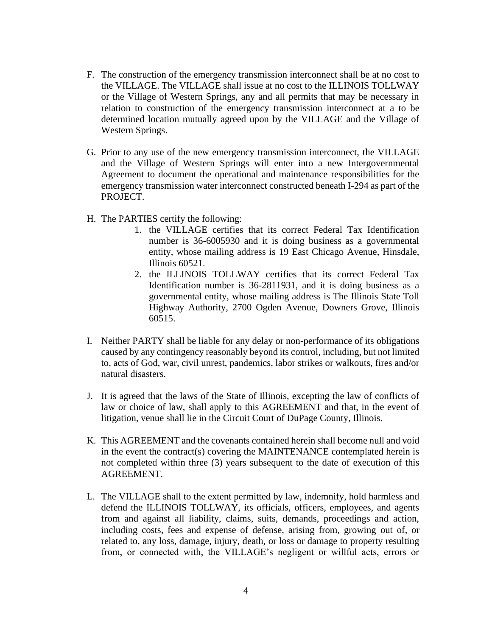- F. The construction of the emergency transmission interconnect shall be at no cost to the VILLAGE. The VILLAGE shall issue at no cost to the ILLINOIS TOLLWAY or the Village of Western Springs, any and all permits that may be necessary in relation to construction of the emergency transmission interconnect at a to be determined location mutually agreed upon by the VILLAGE and the Village of Western Springs.
- G. Prior to any use of the new emergency transmission interconnect, the VILLAGE and the Village of Western Springs will enter into a new Intergovernmental Agreement to document the operational and maintenance responsibilities for the emergency transmission water interconnect constructed beneath I-294 as part of the PROJECT.
- H. The PARTIES certify the following:
	- 1. the VILLAGE certifies that its correct Federal Tax Identification number is 36-6005930 and it is doing business as a governmental entity, whose mailing address is 19 East Chicago Avenue, Hinsdale, Illinois 60521.
	- 2. the ILLINOIS TOLLWAY certifies that its correct Federal Tax Identification number is 36-2811931, and it is doing business as a governmental entity, whose mailing address is The Illinois State Toll Highway Authority, 2700 Ogden Avenue, Downers Grove, Illinois 60515.
- I. Neither PARTY shall be liable for any delay or non-performance of its obligations caused by any contingency reasonably beyond its control, including, but not limited to, acts of God, war, civil unrest, pandemics, labor strikes or walkouts, fires and/or natural disasters.
- J. It is agreed that the laws of the State of Illinois, excepting the law of conflicts of law or choice of law, shall apply to this AGREEMENT and that, in the event of litigation, venue shall lie in the Circuit Court of DuPage County, Illinois.
- K. This AGREEMENT and the covenants contained herein shall become null and void in the event the contract(s) covering the MAINTENANCE contemplated herein is not completed within three (3) years subsequent to the date of execution of this AGREEMENT.
- L. The VILLAGE shall to the extent permitted by law, indemnify, hold harmless and defend the ILLINOIS TOLLWAY, its officials, officers, employees, and agents from and against all liability, claims, suits, demands, proceedings and action, including costs, fees and expense of defense, arising from, growing out of, or related to, any loss, damage, injury, death, or loss or damage to property resulting from, or connected with, the VILLAGE's negligent or willful acts, errors or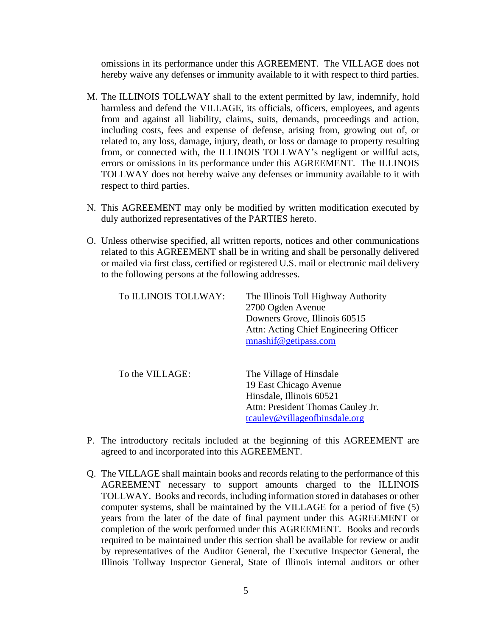omissions in its performance under this AGREEMENT. The VILLAGE does not hereby waive any defenses or immunity available to it with respect to third parties.

- M. The ILLINOIS TOLLWAY shall to the extent permitted by law, indemnify, hold harmless and defend the VILLAGE, its officials, officers, employees, and agents from and against all liability, claims, suits, demands, proceedings and action, including costs, fees and expense of defense, arising from, growing out of, or related to, any loss, damage, injury, death, or loss or damage to property resulting from, or connected with, the ILLINOIS TOLLWAY's negligent or willful acts, errors or omissions in its performance under this AGREEMENT. The ILLINOIS TOLLWAY does not hereby waive any defenses or immunity available to it with respect to third parties.
- N. This AGREEMENT may only be modified by written modification executed by duly authorized representatives of the PARTIES hereto.
- O. Unless otherwise specified, all written reports, notices and other communications related to this AGREEMENT shall be in writing and shall be personally delivered or mailed via first class, certified or registered U.S. mail or electronic mail delivery to the following persons at the following addresses.

| To ILLINOIS TOLLWAY: | The Illinois Toll Highway Authority<br>2700 Ogden Avenue<br>Downers Grove, Illinois 60515<br>Attn: Acting Chief Engineering Officer<br>mnashif@getipass.com |
|----------------------|-------------------------------------------------------------------------------------------------------------------------------------------------------------|
| To the VILLAGE:      | The Village of Hinsdale<br>19 East Chicago Avenue<br>Hinsdale, Illinois 60521<br>Attn: President Thomas Cauley Jr.<br>tcauley@villageofhinsdale.org         |

- P. The introductory recitals included at the beginning of this AGREEMENT are agreed to and incorporated into this AGREEMENT.
- Q. The VILLAGE shall maintain books and records relating to the performance of this AGREEMENT necessary to support amounts charged to the ILLINOIS TOLLWAY. Books and records, including information stored in databases or other computer systems, shall be maintained by the VILLAGE for a period of five (5) years from the later of the date of final payment under this AGREEMENT or completion of the work performed under this AGREEMENT. Books and records required to be maintained under this section shall be available for review or audit by representatives of the Auditor General, the Executive Inspector General, the Illinois Tollway Inspector General, State of Illinois internal auditors or other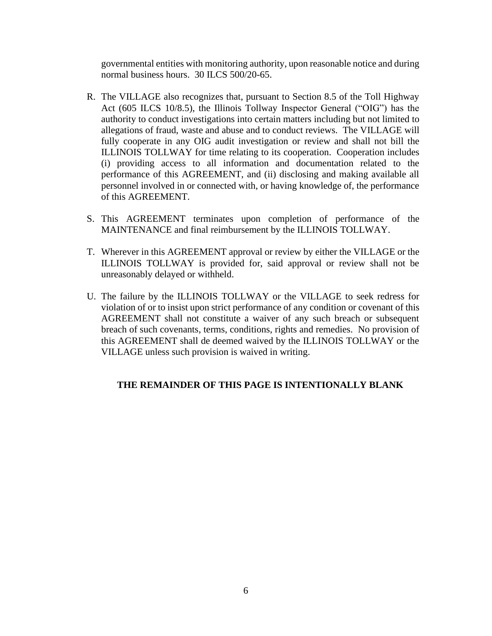governmental entities with monitoring authority, upon reasonable notice and during normal business hours. 30 ILCS 500/20-65.

- R. The VILLAGE also recognizes that, pursuant to Section 8.5 of the Toll Highway Act (605 ILCS 10/8.5), the Illinois Tollway Inspector General ("OIG") has the authority to conduct investigations into certain matters including but not limited to allegations of fraud, waste and abuse and to conduct reviews. The VILLAGE will fully cooperate in any OIG audit investigation or review and shall not bill the ILLINOIS TOLLWAY for time relating to its cooperation. Cooperation includes (i) providing access to all information and documentation related to the performance of this AGREEMENT, and (ii) disclosing and making available all personnel involved in or connected with, or having knowledge of, the performance of this AGREEMENT.
- S. This AGREEMENT terminates upon completion of performance of the MAINTENANCE and final reimbursement by the ILLINOIS TOLLWAY.
- T. Wherever in this AGREEMENT approval or review by either the VILLAGE or the ILLINOIS TOLLWAY is provided for, said approval or review shall not be unreasonably delayed or withheld.
- U. The failure by the ILLINOIS TOLLWAY or the VILLAGE to seek redress for violation of or to insist upon strict performance of any condition or covenant of this AGREEMENT shall not constitute a waiver of any such breach or subsequent breach of such covenants, terms, conditions, rights and remedies. No provision of this AGREEMENT shall de deemed waived by the ILLINOIS TOLLWAY or the VILLAGE unless such provision is waived in writing.

# **THE REMAINDER OF THIS PAGE IS INTENTIONALLY BLANK**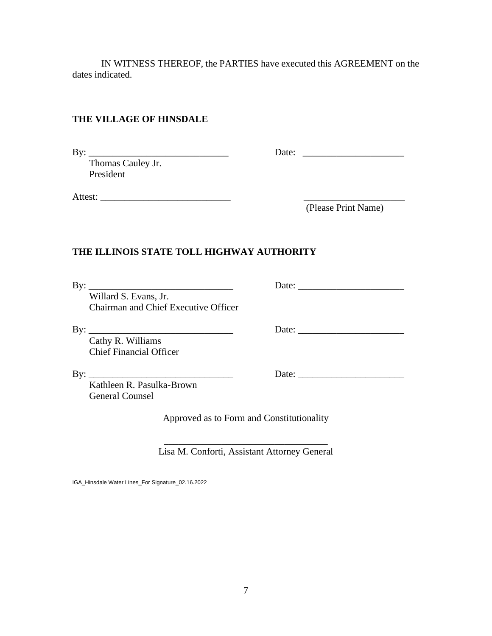IN WITNESS THEREOF, the PARTIES have executed this AGREEMENT on the dates indicated.

## **THE VILLAGE OF HINSDALE**

By: \_\_\_\_\_\_\_\_\_\_\_\_\_\_\_\_\_\_\_\_\_\_\_\_\_\_\_\_\_ Date: \_\_\_\_\_\_\_\_\_\_\_\_\_\_\_\_\_\_\_\_\_

 Thomas Cauley Jr. President

Attest: \_\_\_\_\_\_\_\_\_\_\_\_\_\_\_\_\_\_\_\_\_\_\_\_\_\_\_ \_\_\_\_\_\_\_\_\_\_\_\_\_\_\_\_\_\_\_\_\_

(Please Print Name)

# **THE ILLINOIS STATE TOLL HIGHWAY AUTHORITY**

By: \_\_\_\_\_\_\_\_\_\_\_\_\_\_\_\_\_\_\_\_\_\_\_\_\_\_\_\_\_\_ Date: \_\_\_\_\_\_\_\_\_\_\_\_\_\_\_\_\_\_\_\_\_\_

 Willard S. Evans, Jr. Chairman and Chief Executive Officer

By: \_\_\_\_\_\_\_\_\_\_\_\_\_\_\_\_\_\_\_\_\_\_\_\_\_\_\_\_\_\_ Date: \_\_\_\_\_\_\_\_\_\_\_\_\_\_\_\_\_\_\_\_\_\_

 Cathy R. Williams Chief Financial Officer

By: \_\_\_\_\_\_\_\_\_\_\_\_\_\_\_\_\_\_\_\_\_\_\_\_\_\_\_\_\_\_ Date: \_\_\_\_\_\_\_\_\_\_\_\_\_\_\_\_\_\_\_\_\_\_

 Kathleen R. Pasulka-Brown General Counsel

Approved as to Form and Constitutionality

\_\_\_\_\_\_\_\_\_\_\_\_\_\_\_\_\_\_\_\_\_\_\_\_\_\_\_\_\_\_\_\_\_\_ Lisa M. Conforti, Assistant Attorney General

IGA\_Hinsdale Water Lines\_For Signature\_02.16.2022